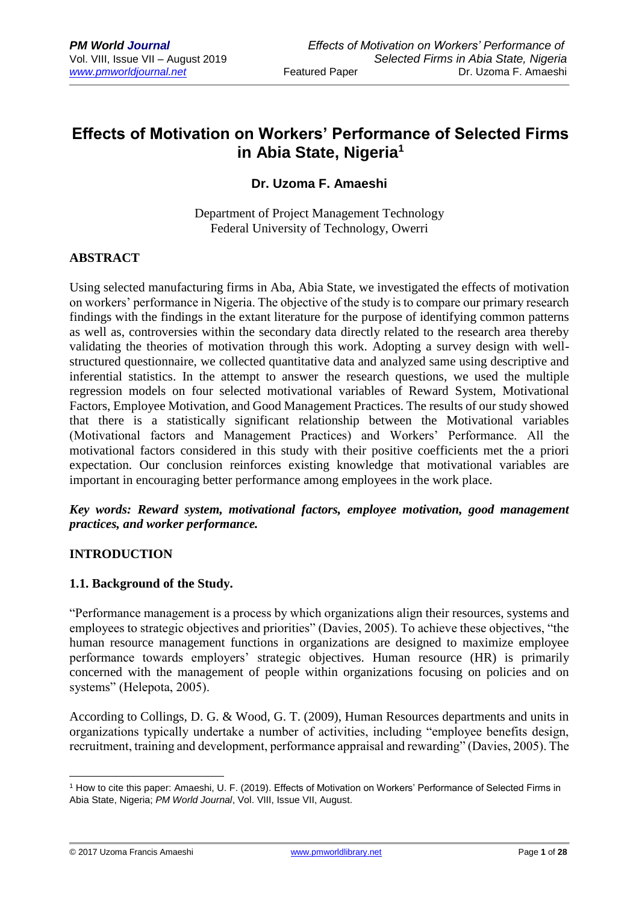# **Effects of Motivation on Workers' Performance of Selected Firms in Abia State, Nigeria<sup>1</sup>**

# **Dr. Uzoma F. Amaeshi**

Department of Project Management Technology Federal University of Technology, Owerri

## **ABSTRACT**

Using selected manufacturing firms in Aba, Abia State, we investigated the effects of motivation on workers' performance in Nigeria. The objective of the study is to compare our primary research findings with the findings in the extant literature for the purpose of identifying common patterns as well as, controversies within the secondary data directly related to the research area thereby validating the theories of motivation through this work. Adopting a survey design with wellstructured questionnaire, we collected quantitative data and analyzed same using descriptive and inferential statistics. In the attempt to answer the research questions, we used the multiple regression models on four selected motivational variables of Reward System, Motivational Factors, Employee Motivation, and Good Management Practices. The results of our study showed that there is a statistically significant relationship between the Motivational variables (Motivational factors and Management Practices) and Workers' Performance. All the motivational factors considered in this study with their positive coefficients met the a priori expectation. Our conclusion reinforces existing knowledge that motivational variables are important in encouraging better performance among employees in the work place.

## *Key words: Reward system, motivational factors, employee motivation, good management practices, and worker performance.*

## **INTRODUCTION**

## **1.1. Background of the Study.**

"Performance management is a process by which organizations align their resources, systems and employees to strategic objectives and priorities" (Davies, 2005). To achieve these objectives, "the human resource management functions in organizations are designed to maximize employee performance towards employers' strategic objectives. Human resource (HR) is primarily concerned with the management of people within organizations focusing on policies and on systems" (Helepota, 2005).

According to Collings, D. G. & Wood, G. T. (2009), Human Resources departments and units in organizations typically undertake a number of activities, including "employee benefits design, recruitment, training and development, performance appraisal and rewarding" (Davies, 2005). The

© 2017 Uzoma Francis Amaeshi [www.pmworldlibrary.net](http://www.pmworldlibrary.net/) Page **1** of **28**

<sup>1</sup> <sup>1</sup> How to cite this paper: Amaeshi, U. F. (2019). Effects of Motivation on Workers' Performance of Selected Firms in Abia State, Nigeria; *PM World Journal*, Vol. VIII, Issue VII, August.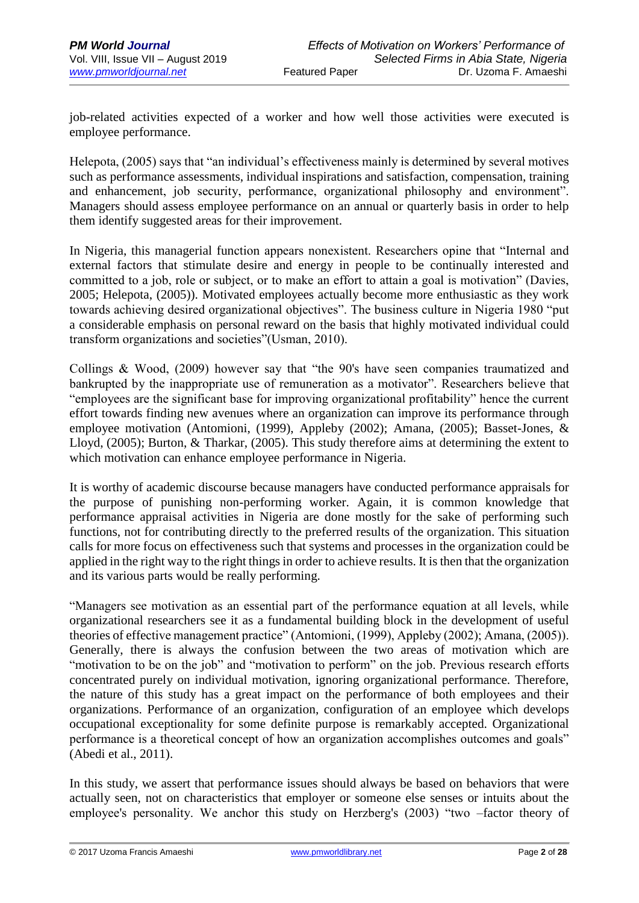job-related activities expected of a worker and how well those activities were executed is employee performance.

Helepota, (2005) says that "an individual's effectiveness mainly is determined by several motives such as performance assessments, individual inspirations and satisfaction, compensation, training and enhancement, job security, performance, organizational philosophy and environment". Managers should assess employee performance on an annual or quarterly basis in order to help them identify suggested areas for their improvement.

In Nigeria, this managerial function appears nonexistent. Researchers opine that "Internal and external factors that stimulate desire and energy in people to be continually interested and committed to a job, role or subject, or to make an effort to attain a goal is motivation" (Davies, 2005; Helepota, (2005)). Motivated employees actually become more enthusiastic as they work towards achieving desired organizational objectives". The business culture in Nigeria 1980 "put a considerable emphasis on personal reward on the basis that highly motivated individual could transform organizations and societies"(Usman, 2010).

Collings & Wood, (2009) however say that "the 90's have seen companies traumatized and bankrupted by the inappropriate use of remuneration as a motivator". Researchers believe that "employees are the significant base for improving organizational profitability" hence the current effort towards finding new avenues where an organization can improve its performance through employee motivation (Antomioni, (1999), Appleby (2002); Amana, (2005); Basset-Jones, & Lloyd, (2005); Burton, & Tharkar, (2005). This study therefore aims at determining the extent to which motivation can enhance employee performance in Nigeria.

It is worthy of academic discourse because managers have conducted performance appraisals for the purpose of punishing non-performing worker. Again, it is common knowledge that performance appraisal activities in Nigeria are done mostly for the sake of performing such functions, not for contributing directly to the preferred results of the organization. This situation calls for more focus on effectiveness such that systems and processes in the organization could be applied in the right way to the right things in order to achieve results. It is then that the organization and its various parts would be really performing.

"Managers see motivation as an essential part of the performance equation at all levels, while organizational researchers see it as a fundamental building block in the development of useful theories of effective management practice" (Antomioni, (1999), Appleby (2002); Amana, (2005)). Generally, there is always the confusion between the two areas of motivation which are "motivation to be on the job" and "motivation to perform" on the job. Previous research efforts concentrated purely on individual motivation, ignoring organizational performance. Therefore, the nature of this study has a great impact on the performance of both employees and their organizations. Performance of an organization, configuration of an employee which develops occupational exceptionality for some definite purpose is remarkably accepted. Organizational performance is a theoretical concept of how an organization accomplishes outcomes and goals" (Abedi et al., 2011).

In this study, we assert that performance issues should always be based on behaviors that were actually seen, not on characteristics that employer or someone else senses or intuits about the employee's personality. We anchor this study on Herzberg's (2003) "two –factor theory of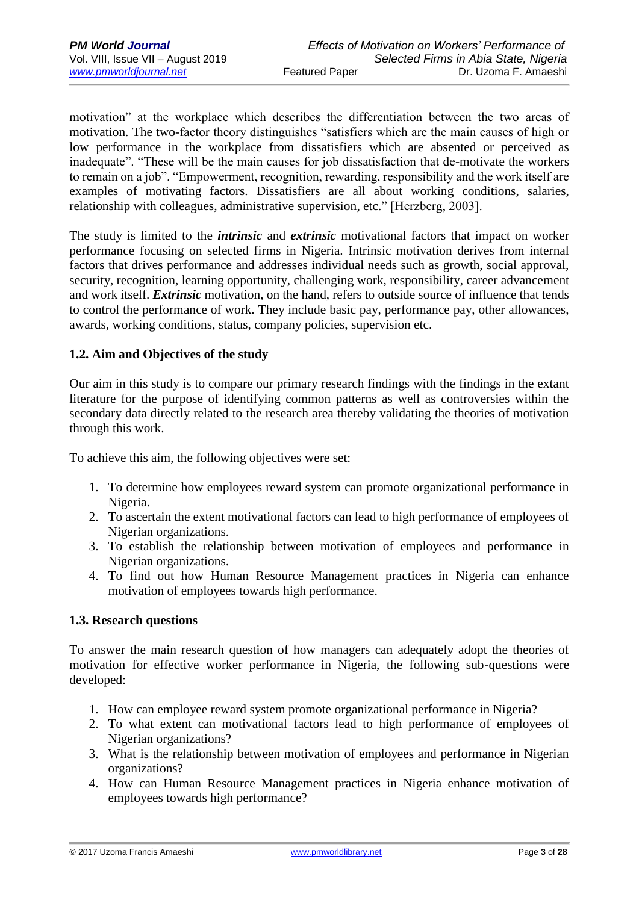motivation" at the workplace which describes the differentiation between the two areas of motivation. The two-factor theory distinguishes "satisfiers which are the main causes of high or low performance in the workplace from dissatisfiers which are absented or perceived as inadequate". "These will be the main causes for job dissatisfaction that de-motivate the workers to remain on a job". "Empowerment, recognition, rewarding, responsibility and the work itself are examples of motivating factors. Dissatisfiers are all about working conditions, salaries, relationship with colleagues, administrative supervision, etc." [Herzberg, 2003].

The study is limited to the *intrinsic* and *extrinsic* motivational factors that impact on worker performance focusing on selected firms in Nigeria. Intrinsic motivation derives from internal factors that drives performance and addresses individual needs such as growth, social approval, security, recognition, learning opportunity, challenging work, responsibility, career advancement and work itself. *Extrinsic* motivation, on the hand, refers to outside source of influence that tends to control the performance of work. They include basic pay, performance pay, other allowances, awards, working conditions, status, company policies, supervision etc.

## **1.2. Aim and Objectives of the study**

Our aim in this study is to compare our primary research findings with the findings in the extant literature for the purpose of identifying common patterns as well as controversies within the secondary data directly related to the research area thereby validating the theories of motivation through this work.

To achieve this aim, the following objectives were set:

- 1. To determine how employees reward system can promote organizational performance in Nigeria.
- 2. To ascertain the extent motivational factors can lead to high performance of employees of Nigerian organizations.
- 3. To establish the relationship between motivation of employees and performance in Nigerian organizations.
- 4. To find out how Human Resource Management practices in Nigeria can enhance motivation of employees towards high performance.

## **1.3. Research questions**

To answer the main research question of how managers can adequately adopt the theories of motivation for effective worker performance in Nigeria, the following sub-questions were developed:

- 1. How can employee reward system promote organizational performance in Nigeria?
- 2. To what extent can motivational factors lead to high performance of employees of Nigerian organizations?
- 3. What is the relationship between motivation of employees and performance in Nigerian organizations?
- 4. How can Human Resource Management practices in Nigeria enhance motivation of employees towards high performance?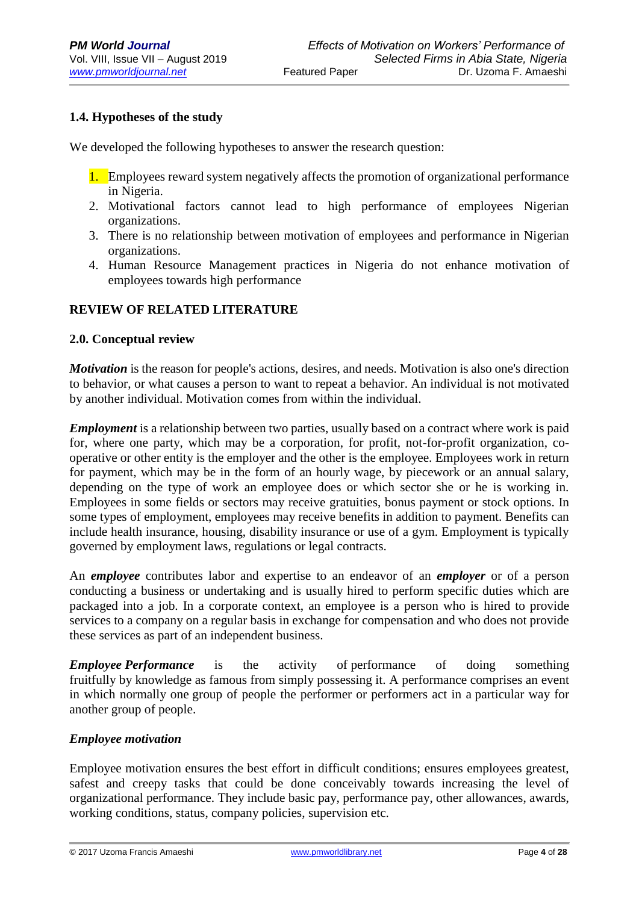# **1.4. Hypotheses of the study**

We developed the following hypotheses to answer the research question:

- 1. Employees reward system negatively affects the promotion of organizational performance in Nigeria.
- 2. Motivational factors cannot lead to high performance of employees Nigerian organizations.
- 3. There is no relationship between motivation of employees and performance in Nigerian organizations.
- 4. Human Resource Management practices in Nigeria do not enhance motivation of employees towards high performance

## **REVIEW OF RELATED LITERATURE**

#### **2.0. Conceptual review**

*Motivation* is the reason for people's actions, desires, and needs. Motivation is also one's direction to behavior, or what causes a person to want to repeat a behavior. An individual is not motivated by another individual. Motivation comes from within the individual.

*Employment* is a relationship between two parties, usually based on a contract where work is paid for, where one party, which may be a corporation, for profit, not-for-profit organization, cooperative or other entity is the employer and the other is the employee. Employees work in return for payment, which may be in the form of an hourly wage, by piecework or an annual salary, depending on the type of work an employee does or which sector she or he is working in. Employees in some fields or sectors may receive gratuities, bonus payment or stock options. In some types of employment, employees may receive benefits in addition to payment. Benefits can include health insurance, housing, disability insurance or use of a gym. Employment is typically governed by employment laws, regulations or legal contracts.

An *employee* contributes labor and expertise to an endeavor of an *employer* or of a person conducting a business or undertaking and is usually hired to perform specific duties which are packaged into a job. In a corporate context, an employee is a person who is hired to provide services to a company on a regular basis in exchange for compensation and who does not provide these services as part of an independent business.

*Employee Performance* is the activity of performance of doing something fruitfully by knowledge as famous from simply possessing it. A performance comprises an event in which normally one group of people the performer or performers act in a particular way for another group of people.

## *Employee motivation*

Employee motivation ensures the best effort in difficult conditions; ensures employees greatest, safest and creepy tasks that could be done conceivably towards increasing the level of organizational performance. They include basic pay, performance pay, other allowances, awards, working conditions, status, company policies, supervision etc.

© 2017 Uzoma Francis Amaeshi [www.pmworldlibrary.net](http://www.pmworldlibrary.net/) Page **4** of **28**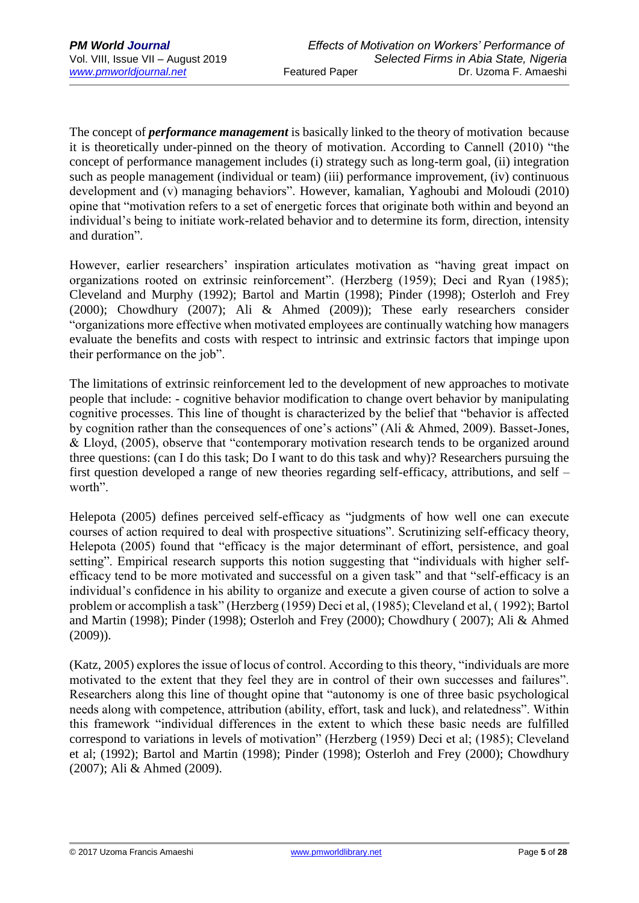The concept of *performance management* is basically linked to the theory of motivation because it is theoretically under-pinned on the theory of motivation. According to Cannell (2010) "the concept of performance management includes (i) strategy such as long-term goal, (ii) integration such as people management (individual or team) (iii) performance improvement, (iv) continuous development and (v) managing behaviors". However, kamalian, Yaghoubi and Moloudi (2010) opine that "motivation refers to a set of energetic forces that originate both within and beyond an individual's being to initiate work-related behavior and to determine its form, direction, intensity and duration".

However, earlier researchers' inspiration articulates motivation as "having great impact on organizations rooted on extrinsic reinforcement". (Herzberg (1959); Deci and Ryan (1985); Cleveland and Murphy (1992); Bartol and Martin (1998); Pinder (1998); Osterloh and Frey (2000); Chowdhury (2007); Ali & Ahmed (2009)); These early researchers consider "organizations more effective when motivated employees are continually watching how managers evaluate the benefits and costs with respect to intrinsic and extrinsic factors that impinge upon their performance on the job".

The limitations of extrinsic reinforcement led to the development of new approaches to motivate people that include: - cognitive behavior modification to change overt behavior by manipulating cognitive processes. This line of thought is characterized by the belief that "behavior is affected by cognition rather than the consequences of one's actions" (Ali & Ahmed, 2009). Basset-Jones, & Lloyd, (2005), observe that "contemporary motivation research tends to be organized around three questions: (can I do this task; Do I want to do this task and why)? Researchers pursuing the first question developed a range of new theories regarding self-efficacy, attributions, and self – worth".

Helepota (2005) defines perceived self-efficacy as "judgments of how well one can execute courses of action required to deal with prospective situations". Scrutinizing self-efficacy theory, Helepota (2005) found that "efficacy is the major determinant of effort, persistence, and goal setting". Empirical research supports this notion suggesting that "individuals with higher selfefficacy tend to be more motivated and successful on a given task" and that "self-efficacy is an individual's confidence in his ability to organize and execute a given course of action to solve a problem or accomplish a task" (Herzberg (1959) Deci et al, (1985); Cleveland et al, ( 1992); Bartol and Martin (1998); Pinder (1998); Osterloh and Frey (2000); Chowdhury ( 2007); Ali & Ahmed (2009)).

(Katz, 2005) explores the issue of locus of control. According to this theory, "individuals are more motivated to the extent that they feel they are in control of their own successes and failures". Researchers along this line of thought opine that "autonomy is one of three basic psychological needs along with competence, attribution (ability, effort, task and luck), and relatedness". Within this framework "individual differences in the extent to which these basic needs are fulfilled correspond to variations in levels of motivation" (Herzberg (1959) Deci et al; (1985); Cleveland et al; (1992); Bartol and Martin (1998); Pinder (1998); Osterloh and Frey (2000); Chowdhury (2007); Ali & Ahmed (2009).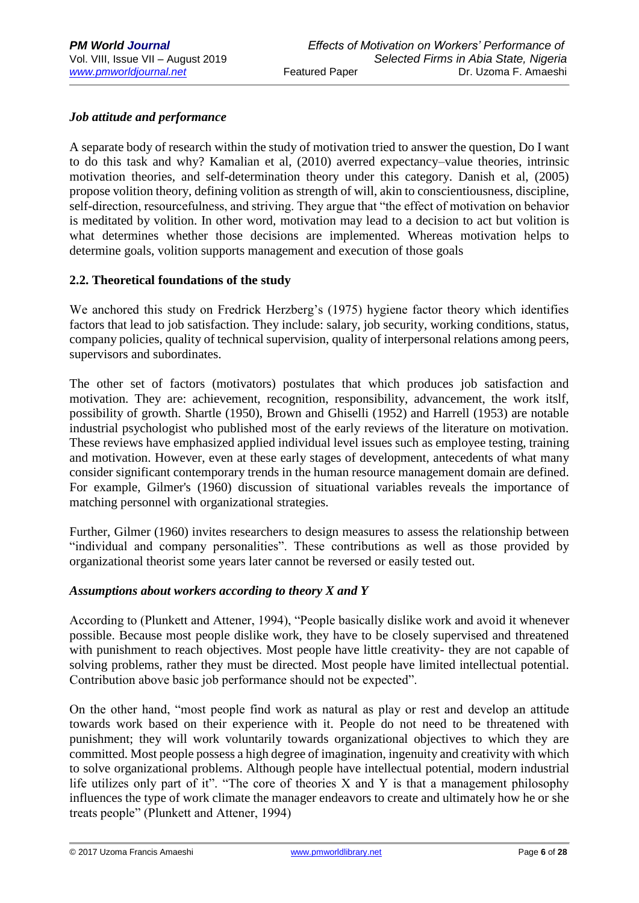## *Job attitude and performance*

A separate body of research within the study of motivation tried to answer the question, Do I want to do this task and why? Kamalian et al, (2010) averred expectancy–value theories, intrinsic motivation theories, and self-determination theory under this category. Danish et al, (2005) propose volition theory, defining volition as strength of will, akin to conscientiousness, discipline, self-direction, resourcefulness, and striving. They argue that "the effect of motivation on behavior is meditated by volition. In other word, motivation may lead to a decision to act but volition is what determines whether those decisions are implemented. Whereas motivation helps to determine goals, volition supports management and execution of those goals

## **2.2. Theoretical foundations of the study**

We anchored this study on Fredrick Herzberg's (1975) hygiene factor theory which identifies factors that lead to job satisfaction. They include: salary, job security, working conditions, status, company policies, quality of technical supervision, quality of interpersonal relations among peers, supervisors and subordinates.

The other set of factors (motivators) postulates that which produces job satisfaction and motivation. They are: achievement, recognition, responsibility, advancement, the work itslf, possibility of growth. Shartle (1950), Brown and Ghiselli (1952) and Harrell (1953) are notable industrial psychologist who published most of the early reviews of the literature on motivation. These reviews have emphasized applied individual level issues such as employee testing, training and motivation. However, even at these early stages of development, antecedents of what many consider significant contemporary trends in the human resource management domain are defined. For example, Gilmer's (1960) discussion of situational variables reveals the importance of matching personnel with organizational strategies.

Further, Gilmer (1960) invites researchers to design measures to assess the relationship between "individual and company personalities". These contributions as well as those provided by organizational theorist some years later cannot be reversed or easily tested out.

#### *Assumptions about workers according to theory X and Y*

According to (Plunkett and Attener, 1994), "People basically dislike work and avoid it whenever possible. Because most people dislike work, they have to be closely supervised and threatened with punishment to reach objectives. Most people have little creativity- they are not capable of solving problems, rather they must be directed. Most people have limited intellectual potential. Contribution above basic job performance should not be expected".

On the other hand, "most people find work as natural as play or rest and develop an attitude towards work based on their experience with it. People do not need to be threatened with punishment; they will work voluntarily towards organizational objectives to which they are committed. Most people possess a high degree of imagination, ingenuity and creativity with which to solve organizational problems. Although people have intellectual potential, modern industrial life utilizes only part of it". "The core of theories X and Y is that a management philosophy influences the type of work climate the manager endeavors to create and ultimately how he or she treats people" (Plunkett and Attener, 1994)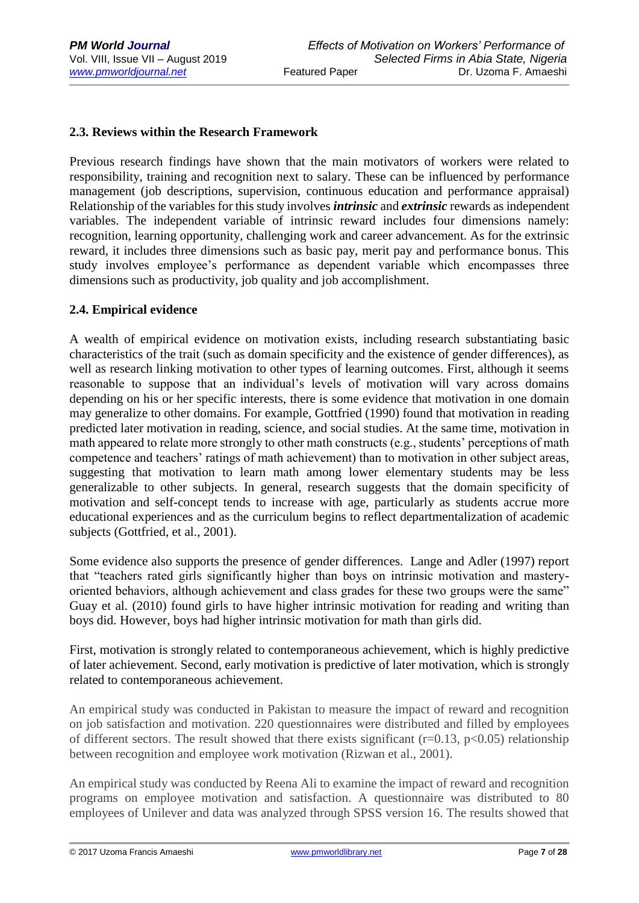## **2.3. Reviews within the Research Framework**

Previous research findings have shown that the main motivators of workers were related to responsibility, training and recognition next to salary. These can be influenced by performance management (job descriptions, supervision, continuous education and performance appraisal) Relationship of the variables for this study involves *intrinsic* and *extrinsic* rewards as independent variables. The independent variable of intrinsic reward includes four dimensions namely: recognition, learning opportunity, challenging work and career advancement. As for the extrinsic reward, it includes three dimensions such as basic pay, merit pay and performance bonus. This study involves employee's performance as dependent variable which encompasses three dimensions such as productivity, job quality and job accomplishment.

## **2.4. Empirical evidence**

A wealth of empirical evidence on motivation exists, including research substantiating basic characteristics of the trait (such as domain specificity and the existence of gender differences), as well as research linking motivation to other types of learning outcomes. First, although it seems reasonable to suppose that an individual's levels of motivation will vary across domains depending on his or her specific interests, there is some evidence that motivation in one domain may generalize to other domains. For example, Gottfried (1990) found that motivation in reading predicted later motivation in reading, science, and social studies. At the same time, motivation in math appeared to relate more strongly to other math constructs (e.g., students' perceptions of math competence and teachers' ratings of math achievement) than to motivation in other subject areas, suggesting that motivation to learn math among lower elementary students may be less generalizable to other subjects. In general, research suggests that the domain specificity of motivation and self-concept tends to increase with age, particularly as students accrue more educational experiences and as the curriculum begins to reflect departmentalization of academic subjects (Gottfried, et al., 2001).

Some evidence also supports the presence of gender differences. Lange and Adler (1997) report that "teachers rated girls significantly higher than boys on intrinsic motivation and masteryoriented behaviors, although achievement and class grades for these two groups were the same" Guay et al. (2010) found girls to have higher intrinsic motivation for reading and writing than boys did. However, boys had higher intrinsic motivation for math than girls did.

First, motivation is strongly related to contemporaneous achievement, which is highly predictive of later achievement. Second, early motivation is predictive of later motivation, which is strongly related to contemporaneous achievement.

An empirical study was conducted in Pakistan to measure the impact of reward and recognition on job satisfaction and motivation. 220 questionnaires were distributed and filled by employees of different sectors. The result showed that there exists significant  $(r=0.13, p<0.05)$  relationship between recognition and employee work motivation (Rizwan et al., 2001).

An empirical study was conducted by Reena Ali to examine the impact of reward and recognition programs on employee motivation and satisfaction. A questionnaire was distributed to 80 employees of Unilever and data was analyzed through SPSS version 16. The results showed that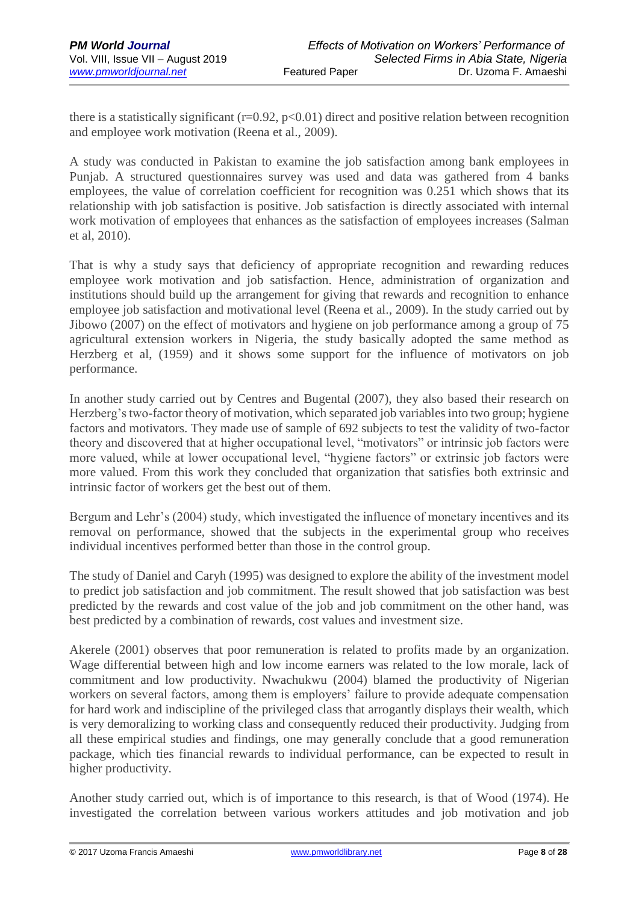there is a statistically significant ( $r=0.92$ ,  $p<0.01$ ) direct and positive relation between recognition and employee work motivation (Reena et al., 2009).

A study was conducted in Pakistan to examine the job satisfaction among bank employees in Punjab. A structured questionnaires survey was used and data was gathered from 4 banks employees, the value of correlation coefficient for recognition was 0.251 which shows that its relationship with job satisfaction is positive. Job satisfaction is directly associated with internal work motivation of employees that enhances as the satisfaction of employees increases (Salman et al, 2010).

That is why a study says that deficiency of appropriate recognition and rewarding reduces employee work motivation and job satisfaction. Hence, administration of organization and institutions should build up the arrangement for giving that rewards and recognition to enhance employee job satisfaction and motivational level (Reena et al., 2009). In the study carried out by Jibowo (2007) on the effect of motivators and hygiene on job performance among a group of 75 agricultural extension workers in Nigeria, the study basically adopted the same method as Herzberg et al, (1959) and it shows some support for the influence of motivators on job performance.

In another study carried out by Centres and Bugental (2007), they also based their research on Herzberg's two-factor theory of motivation, which separated job variables into two group; hygiene factors and motivators. They made use of sample of 692 subjects to test the validity of two-factor theory and discovered that at higher occupational level, "motivators" or intrinsic job factors were more valued, while at lower occupational level, "hygiene factors" or extrinsic job factors were more valued. From this work they concluded that organization that satisfies both extrinsic and intrinsic factor of workers get the best out of them.

Bergum and Lehr's (2004) study, which investigated the influence of monetary incentives and its removal on performance, showed that the subjects in the experimental group who receives individual incentives performed better than those in the control group.

The study of Daniel and Caryh (1995) was designed to explore the ability of the investment model to predict job satisfaction and job commitment. The result showed that job satisfaction was best predicted by the rewards and cost value of the job and job commitment on the other hand, was best predicted by a combination of rewards, cost values and investment size.

Akerele (2001) observes that poor remuneration is related to profits made by an organization. Wage differential between high and low income earners was related to the low morale, lack of commitment and low productivity. Nwachukwu (2004) blamed the productivity of Nigerian workers on several factors, among them is employers' failure to provide adequate compensation for hard work and indiscipline of the privileged class that arrogantly displays their wealth, which is very demoralizing to working class and consequently reduced their productivity. Judging from all these empirical studies and findings, one may generally conclude that a good remuneration package, which ties financial rewards to individual performance, can be expected to result in higher productivity.

Another study carried out, which is of importance to this research, is that of Wood (1974). He investigated the correlation between various workers attitudes and job motivation and job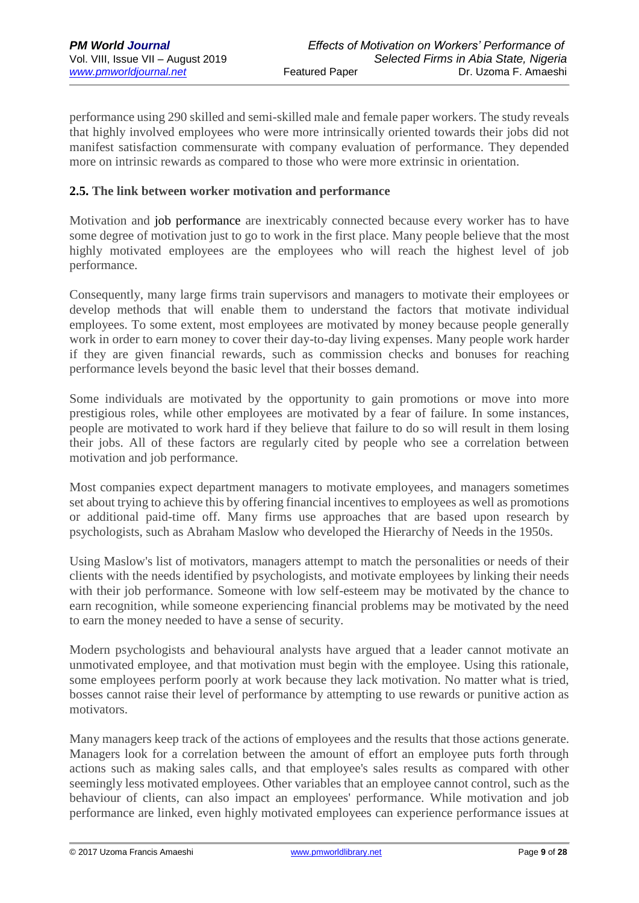performance using 290 skilled and semi-skilled male and female paper workers. The study reveals that highly involved employees who were more intrinsically oriented towards their jobs did not manifest satisfaction commensurate with company evaluation of performance. They depended more on intrinsic rewards as compared to those who were more extrinsic in orientation.

## **2.5. The link between worker motivation and performance**

Motivation and job performance are inextricably connected because every worker has to have some degree of motivation just to go to work in the first place. Many people believe that the most highly motivated employees are the employees who will reach the highest level of job performance.

Consequently, many large firms train supervisors and managers to motivate their employees or develop methods that will enable them to understand the factors that motivate individual employees. To some extent, most employees are motivated by money because people generally work in order to earn money to cover their day-to-day living expenses. Many people work harder if they are given financial rewards, such as commission checks and bonuses for reaching performance levels beyond the basic level that their bosses demand.

Some individuals are motivated by the opportunity to gain promotions or move into more prestigious roles, while other employees are motivated by a fear of failure. In some instances, people are motivated to work hard if they believe that failure to do so will result in them losing their jobs. All of these factors are regularly cited by people who see a correlation between motivation and job performance.

Most companies expect department managers to motivate employees, and managers sometimes set about trying to achieve this by offering financial incentives to employees as well as promotions or additional paid-time off. Many firms use approaches that are based upon research by psychologists, such as Abraham Maslow who developed the Hierarchy of Needs in the 1950s.

Using Maslow's list of motivators, managers attempt to match the personalities or needs of their clients with the needs identified by psychologists, and motivate employees by linking their needs with their job performance. Someone with low self-esteem may be motivated by the chance to earn recognition, while someone experiencing financial problems may be motivated by the need to earn the money needed to have a sense of security.

Modern psychologists and behavioural analysts have argued that a leader cannot motivate an unmotivated employee, and that motivation must begin with the employee. Using this rationale, some employees perform poorly at work because they lack motivation. No matter what is tried, bosses cannot raise their level of performance by attempting to use rewards or punitive action as motivators.

Many managers keep track of the actions of employees and the results that those actions generate. Managers look for a correlation between the amount of effort an employee puts forth through actions such as making sales calls, and that employee's sales results as compared with other seemingly less motivated employees. Other variables that an employee cannot control, such as the behaviour of clients, can also impact an employees' performance. While motivation and job performance are linked, even highly motivated employees can experience performance issues at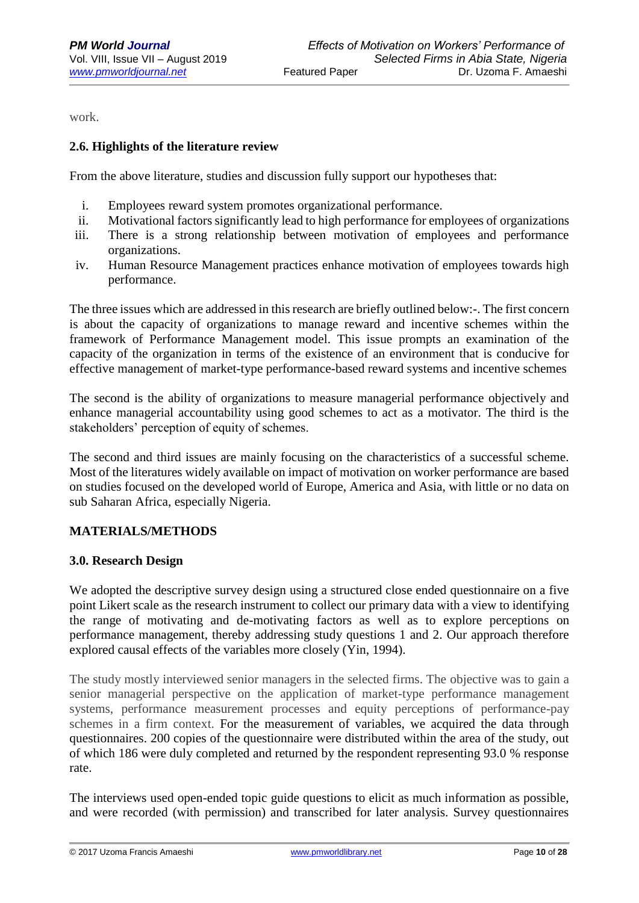work.

## **2.6. Highlights of the literature review**

From the above literature, studies and discussion fully support our hypotheses that:

- i. Employees reward system promotes organizational performance.
- ii. Motivational factors significantly lead to high performance for employees of organizations
- iii. There is a strong relationship between motivation of employees and performance organizations.
- iv. Human Resource Management practices enhance motivation of employees towards high performance.

The three issues which are addressed in this research are briefly outlined below:-. The first concern is about the capacity of organizations to manage reward and incentive schemes within the framework of Performance Management model. This issue prompts an examination of the capacity of the organization in terms of the existence of an environment that is conducive for effective management of market-type performance-based reward systems and incentive schemes

The second is the ability of organizations to measure managerial performance objectively and enhance managerial accountability using good schemes to act as a motivator. The third is the stakeholders' perception of equity of schemes.

The second and third issues are mainly focusing on the characteristics of a successful scheme. Most of the literatures widely available on impact of motivation on worker performance are based on studies focused on the developed world of Europe, America and Asia, with little or no data on sub Saharan Africa, especially Nigeria.

## **MATERIALS/METHODS**

## **3.0. Research Design**

We adopted the descriptive survey design using a structured close ended questionnaire on a five point Likert scale as the research instrument to collect our primary data with a view to identifying the range of motivating and de-motivating factors as well as to explore perceptions on performance management, thereby addressing study questions 1 and 2. Our approach therefore explored causal effects of the variables more closely (Yin, 1994).

The study mostly interviewed senior managers in the selected firms. The objective was to gain a senior managerial perspective on the application of market-type performance management systems, performance measurement processes and equity perceptions of performance-pay schemes in a firm context. For the measurement of variables, we acquired the data through questionnaires. 200 copies of the questionnaire were distributed within the area of the study, out of which 186 were duly completed and returned by the respondent representing 93.0 % response rate.

The interviews used open-ended topic guide questions to elicit as much information as possible, and were recorded (with permission) and transcribed for later analysis. Survey questionnaires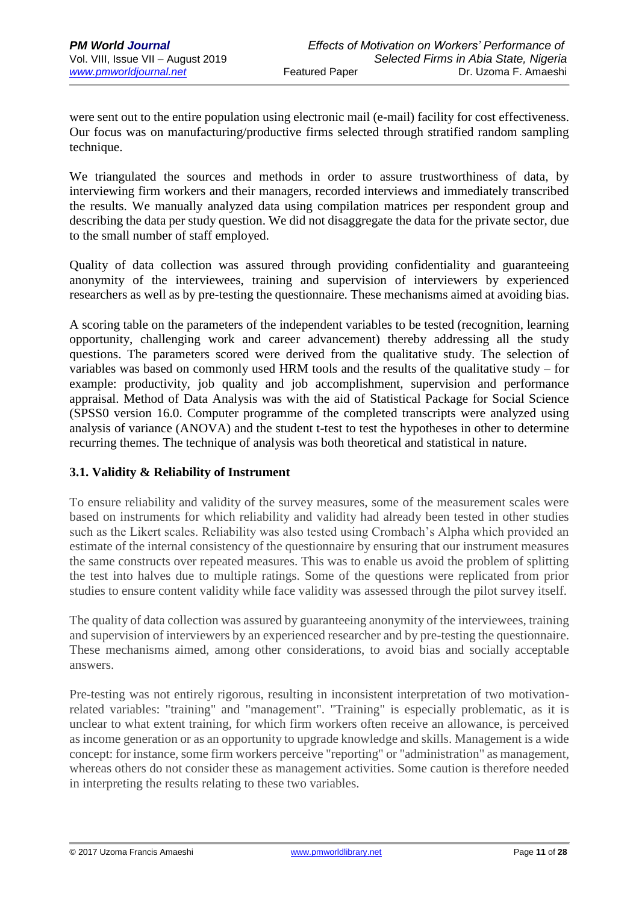were sent out to the entire population using electronic mail (e-mail) facility for cost effectiveness. Our focus was on manufacturing/productive firms selected through stratified random sampling technique.

We triangulated the sources and methods in order to assure trustworthiness of data, by interviewing firm workers and their managers, recorded interviews and immediately transcribed the results. We manually analyzed data using compilation matrices per respondent group and describing the data per study question. We did not disaggregate the data for the private sector, due to the small number of staff employed.

Quality of data collection was assured through providing confidentiality and guaranteeing anonymity of the interviewees, training and supervision of interviewers by experienced researchers as well as by pre-testing the questionnaire. These mechanisms aimed at avoiding bias.

A scoring table on the parameters of the independent variables to be tested (recognition, learning opportunity, challenging work and career advancement) thereby addressing all the study questions. The parameters scored were derived from the qualitative study. The selection of variables was based on commonly used HRM tools and the results of the qualitative study – for example: productivity, job quality and job accomplishment, supervision and performance appraisal. Method of Data Analysis was with the aid of Statistical Package for Social Science (SPSS0 version 16.0. Computer programme of the completed transcripts were analyzed using analysis of variance (ANOVA) and the student t-test to test the hypotheses in other to determine recurring themes. The technique of analysis was both theoretical and statistical in nature.

# **3.1. Validity & Reliability of Instrument**

To ensure reliability and validity of the survey measures, some of the measurement scales were based on instruments for which reliability and validity had already been tested in other studies such as the Likert scales. Reliability was also tested using Crombach's Alpha which provided an estimate of the internal consistency of the questionnaire by ensuring that our instrument measures the same constructs over repeated measures. This was to enable us avoid the problem of splitting the test into halves due to multiple ratings. Some of the questions were replicated from prior studies to ensure content validity while face validity was assessed through the pilot survey itself.

The quality of data collection was assured by guaranteeing anonymity of the interviewees, training and supervision of interviewers by an experienced researcher and by pre-testing the questionnaire. These mechanisms aimed, among other considerations, to avoid bias and socially acceptable answers.

Pre-testing was not entirely rigorous, resulting in inconsistent interpretation of two motivationrelated variables: "training" and "management". "Training" is especially problematic, as it is unclear to what extent training, for which firm workers often receive an allowance, is perceived as income generation or as an opportunity to upgrade knowledge and skills. Management is a wide concept: for instance, some firm workers perceive "reporting" or "administration" as management, whereas others do not consider these as management activities. Some caution is therefore needed in interpreting the results relating to these two variables.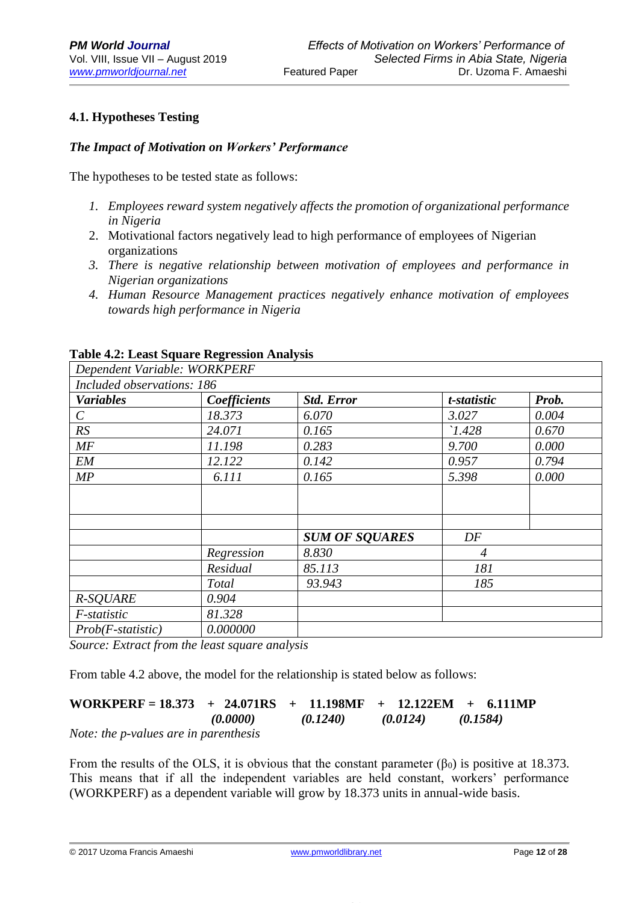# **4.1. Hypotheses Testing**

#### *The Impact of Motivation on Workers' Performance*

The hypotheses to be tested state as follows:

- *1. Employees reward system negatively affects the promotion of organizational performance in Nigeria*
- 2. Motivational factors negatively lead to high performance of employees of Nigerian organizations
- *3. There is negative relationship between motivation of employees and performance in Nigerian organizations*
- *4. Human Resource Management practices negatively enhance motivation of employees towards high performance in Nigeria*

| Dependent Variable: WORKPERF |              |                       |                |       |
|------------------------------|--------------|-----------------------|----------------|-------|
| Included observations: 186   |              |                       |                |       |
| <b>Variables</b>             | Coefficients | <b>Std. Error</b>     | t-statistic    | Prob. |
| $\mathcal{C}_{\mathcal{C}}$  | 18.373       | 6.070                 | 3.027          | 0.004 |
| RS                           | 24.071       | 0.165                 | 1.428          | 0.670 |
| MF                           | 11.198       | 0.283                 | 9.700          | 0.000 |
| <b>EM</b>                    | 12.122       | 0.142                 | 0.957          | 0.794 |
| MP                           | 6.111        | 0.165                 | 5.398          | 0.000 |
|                              |              |                       |                |       |
|                              |              |                       |                |       |
|                              |              |                       |                |       |
|                              |              | <b>SUM OF SQUARES</b> | DF             |       |
|                              | Regression   | 8.830                 | $\overline{4}$ |       |
|                              | Residual     | 85.113                | 181            |       |
|                              | Total        | 93.943                | 185            |       |
| <b>R-SQUARE</b>              | 0.904        |                       |                |       |
| F-statistic                  | 81.328       |                       |                |       |
| $Prob(F-statistic)$          | 0.000000     |                       |                |       |

#### **Table 4.2: Least Square Regression Analysis**

*Source: Extract from the least square analysis*

From table 4.2 above, the model for the relationship is stated below as follows:

| WORKPERF = $18.373 + 24.071RS + 11.198MF + 12.122EM + 6.111MP$ |          |          |          |          |
|----------------------------------------------------------------|----------|----------|----------|----------|
|                                                                | (0.0000) | (0.1240) | (0.0124) | (0.1584) |

*Note: the p-values are in parenthesis*

From the results of the OLS, it is obvious that the constant parameter  $(\beta_0)$  is positive at 18.373. This means that if all the independent variables are held constant, workers' performance (WORKPERF) as a dependent variable will grow by 18.373 units in annual-wide basis.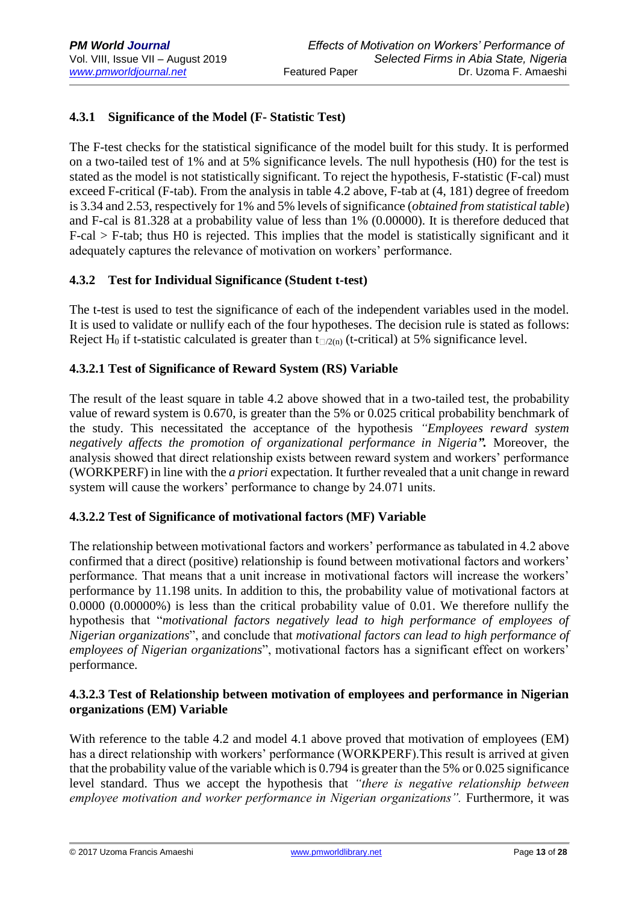# **4.3.1 Significance of the Model (F- Statistic Test)**

The F-test checks for the statistical significance of the model built for this study. It is performed on a two-tailed test of 1% and at 5% significance levels. The null hypothesis (H0) for the test is stated as the model is not statistically significant. To reject the hypothesis, F-statistic (F-cal) must exceed F-critical (F-tab). From the analysis in table 4.2 above, F-tab at (4, 181) degree of freedom is 3.34 and 2.53, respectively for 1% and 5% levels of significance (*obtained from statistical table*) and F-cal is 81.328 at a probability value of less than 1% (0.00000). It is therefore deduced that F-cal > F-tab; thus H0 is rejected. This implies that the model is statistically significant and it adequately captures the relevance of motivation on workers' performance.

## **4.3.2 Test for Individual Significance (Student t-test)**

The t-test is used to test the significance of each of the independent variables used in the model. It is used to validate or nullify each of the four hypotheses. The decision rule is stated as follows: Reject H<sub>0</sub> if t-statistic calculated is greater than  $t_{\Box/2(n)}$  (t-critical) at 5% significance level.

## **4.3.2.1 Test of Significance of Reward System (RS) Variable**

The result of the least square in table 4.2 above showed that in a two-tailed test, the probability value of reward system is 0.670, is greater than the 5% or 0.025 critical probability benchmark of the study. This necessitated the acceptance of the hypothesis *"Employees reward system negatively affects the promotion of organizational performance in Nigeria".* Moreover, the analysis showed that direct relationship exists between reward system and workers' performance (WORKPERF) in line with the *a priori* expectation. It further revealed that a unit change in reward system will cause the workers' performance to change by 24.071 units.

## **4.3.2.2 Test of Significance of motivational factors (MF) Variable**

The relationship between motivational factors and workers' performance as tabulated in 4.2 above confirmed that a direct (positive) relationship is found between motivational factors and workers' performance. That means that a unit increase in motivational factors will increase the workers' performance by 11.198 units. In addition to this, the probability value of motivational factors at 0.0000 (0.00000%) is less than the critical probability value of 0.01. We therefore nullify the hypothesis that "*motivational factors negatively lead to high performance of employees of Nigerian organizations*", and conclude that *motivational factors can lead to high performance of employees of Nigerian organizations*", motivational factors has a significant effect on workers' performance.

## **4.3.2.3 Test of Relationship between motivation of employees and performance in Nigerian organizations (EM) Variable**

With reference to the table 4.2 and model 4.1 above proved that motivation of employees (EM) has a direct relationship with workers' performance (WORKPERF).This result is arrived at given that the probability value of the variable which is 0.794 is greater than the 5% or 0.025 significance level standard. Thus we accept the hypothesis that *"there is negative relationship between*  employee motivation and worker performance in Nigerian organizations". Furthermore, it was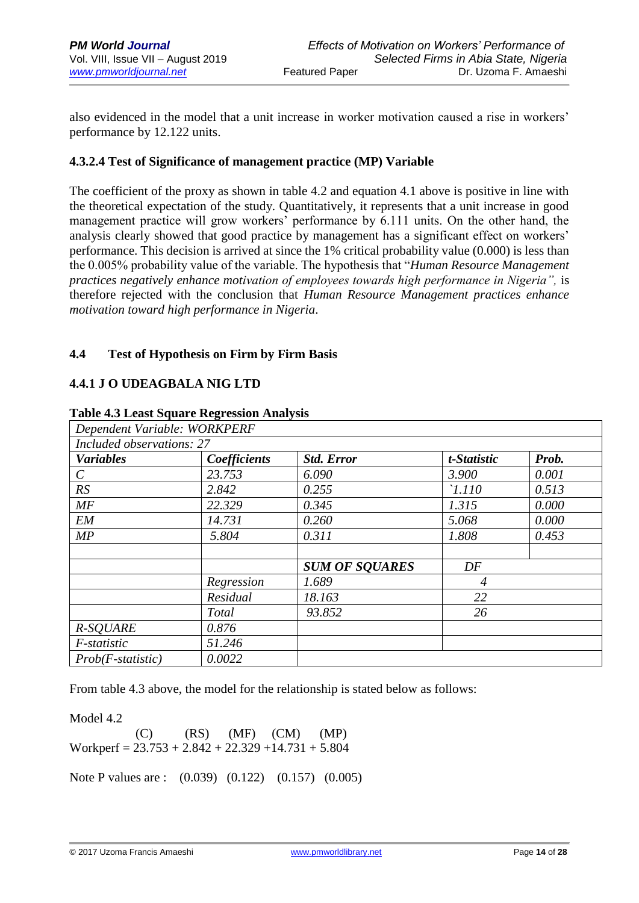also evidenced in the model that a unit increase in worker motivation caused a rise in workers' performance by 12.122 units.

## **4.3.2.4 Test of Significance of management practice (MP) Variable**

The coefficient of the proxy as shown in table 4.2 and equation 4.1 above is positive in line with the theoretical expectation of the study. Quantitatively, it represents that a unit increase in good management practice will grow workers' performance by 6.111 units. On the other hand, the analysis clearly showed that good practice by management has a significant effect on workers' performance. This decision is arrived at since the 1% critical probability value (0.000) is less than the 0.005% probability value of the variable. The hypothesis that "*Human Resource Management practices negatively enhance motivation of employees towards high performance in Nigeria", is* therefore rejected with the conclusion that *Human Resource Management practices enhance motivation toward high performance in Nigeria*.

# **4.4 Test of Hypothesis on Firm by Firm Basis**

# **4.4.1 J O UDEAGBALA NIG LTD**

| Dependent Variable: WORKPERF |              |                       |                |       |
|------------------------------|--------------|-----------------------|----------------|-------|
| Included observations: 27    |              |                       |                |       |
| <b>Variables</b>             | Coefficients | <b>Std. Error</b>     | t-Statistic    | Prob. |
| $\mathcal{C}_{\mathcal{C}}$  | 23.753       | 6.090                 | 3.900          | 0.001 |
| RS                           | 2.842        | 0.255                 | $\lceil$ .110  | 0.513 |
| MF                           | 22.329       | 0.345                 | 1.315          | 0.000 |
| <b>EM</b>                    | 14.731       | 0.260                 | 5.068          | 0.000 |
| MP                           | 5.804        | 0.311                 | 1.808          | 0.453 |
|                              |              |                       |                |       |
|                              |              | <b>SUM OF SQUARES</b> | DF             |       |
|                              | Regression   | 1.689                 | $\overline{4}$ |       |
|                              | Residual     | 18.163                | 22             |       |
|                              | Total        | 93.852                | 26             |       |
| R-SQUARE                     | 0.876        |                       |                |       |
| F-statistic                  | 51.246       |                       |                |       |
| $Prob(F-statistic)$          | 0.0022       |                       |                |       |

#### **Table 4.3 Least Square Regression Analysis**

From table 4.3 above, the model for the relationship is stated below as follows:

Model 4.2

 $(C)$   $(RS)$   $(MF)$   $(CM)$   $(MP)$ Workperf =  $23.753 + 2.842 + 22.329 + 14.731 + 5.804$ 

Note P values are : (0.039) (0.122) (0.157) (0.005)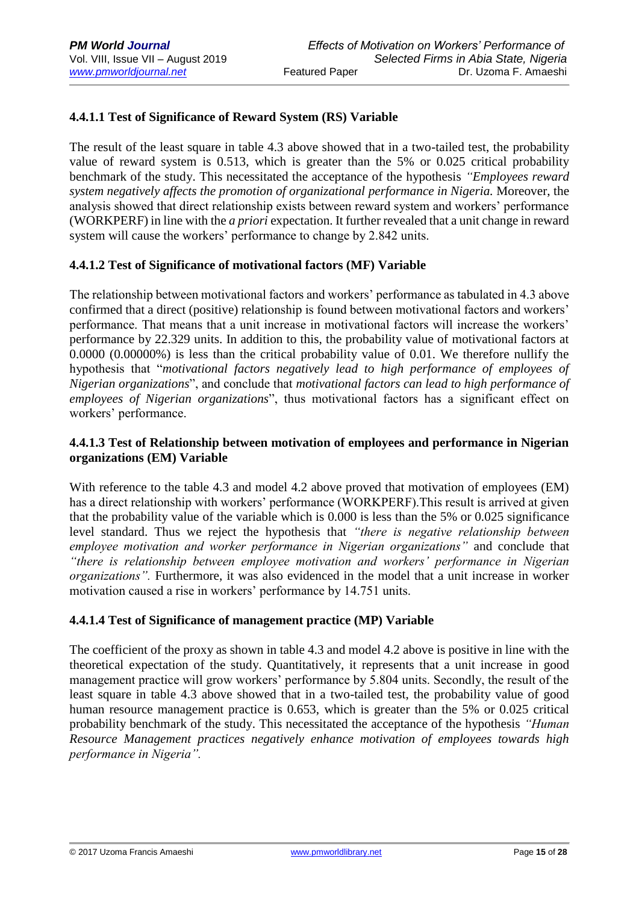# **4.4.1.1 Test of Significance of Reward System (RS) Variable**

The result of the least square in table 4.3 above showed that in a two-tailed test, the probability value of reward system is 0.513, which is greater than the 5% or 0.025 critical probability benchmark of the study. This necessitated the acceptance of the hypothesis *"Employees reward system negatively affects the promotion of organizational performance in Nigeria.* Moreover, the analysis showed that direct relationship exists between reward system and workers' performance (WORKPERF) in line with the *a priori* expectation. It further revealed that a unit change in reward system will cause the workers' performance to change by 2.842 units.

## **4.4.1.2 Test of Significance of motivational factors (MF) Variable**

The relationship between motivational factors and workers' performance as tabulated in 4.3 above confirmed that a direct (positive) relationship is found between motivational factors and workers' performance. That means that a unit increase in motivational factors will increase the workers' performance by 22.329 units. In addition to this, the probability value of motivational factors at 0.0000 (0.00000%) is less than the critical probability value of 0.01. We therefore nullify the hypothesis that "*motivational factors negatively lead to high performance of employees of Nigerian organizations*", and conclude that *motivational factors can lead to high performance of employees of Nigerian organizations*", thus motivational factors has a significant effect on workers' performance.

## **4.4.1.3 Test of Relationship between motivation of employees and performance in Nigerian organizations (EM) Variable**

With reference to the table 4.3 and model 4.2 above proved that motivation of employees (EM) has a direct relationship with workers' performance (WORKPERF).This result is arrived at given that the probability value of the variable which is 0.000 is less than the 5% or 0.025 significance level standard. Thus we reject the hypothesis that *"there is negative relationship between employee motivation and worker performance in Nigerian organizations"* and conclude that *"there is relationship between employee motivation and workers' performance in Nigerian organizations".* Furthermore, it was also evidenced in the model that a unit increase in worker motivation caused a rise in workers' performance by 14.751 units.

## **4.4.1.4 Test of Significance of management practice (MP) Variable**

The coefficient of the proxy as shown in table 4.3 and model 4.2 above is positive in line with the theoretical expectation of the study. Quantitatively, it represents that a unit increase in good management practice will grow workers' performance by 5.804 units. Secondly, the result of the least square in table 4.3 above showed that in a two-tailed test, the probability value of good human resource management practice is 0.653, which is greater than the 5% or 0.025 critical probability benchmark of the study. This necessitated the acceptance of the hypothesis *"Human Resource Management practices negatively enhance motivation of employees towards high performance in Nigeria".*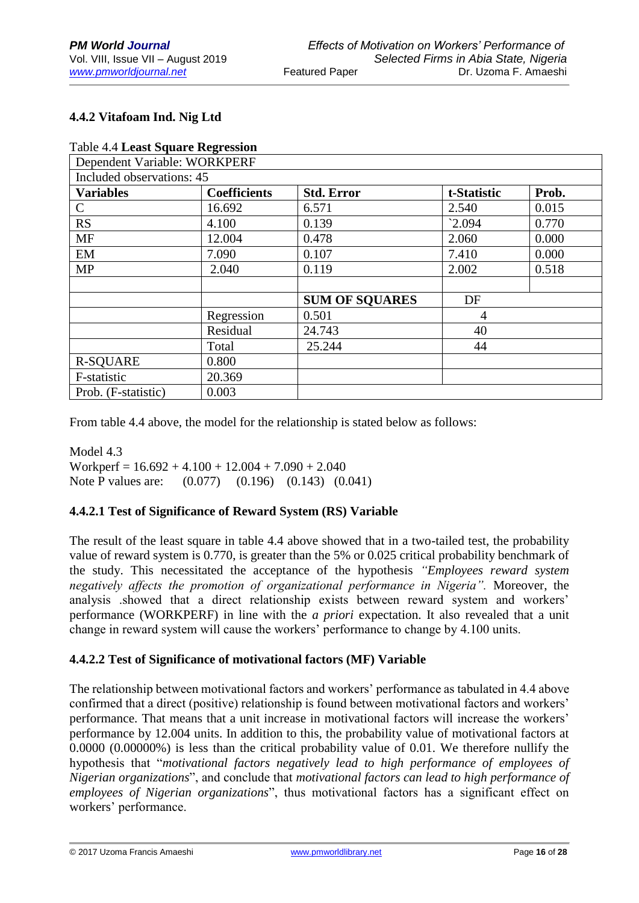# **4.4.2 Vitafoam Ind. Nig Ltd**

| <b>Table 4.4 Least Square Regression</b> |                     |                       |                 |       |
|------------------------------------------|---------------------|-----------------------|-----------------|-------|
| Dependent Variable: WORKPERF             |                     |                       |                 |       |
| Included observations: 45                |                     |                       |                 |       |
| <b>Variables</b>                         | <b>Coefficients</b> | <b>Std. Error</b>     | t-Statistic     | Prob. |
| $\mathcal{C}$                            | 16.692              | 6.571                 | 2.540           | 0.015 |
| <b>RS</b>                                | 4.100               | 0.139                 | $^{\circ}2.094$ | 0.770 |
| <b>MF</b>                                | 12.004              | 0.478                 | 2.060           | 0.000 |
| EM                                       | 7.090               | 0.107                 | 7.410           | 0.000 |
| <b>MP</b>                                | 2.040               | 0.119                 | 2.002           | 0.518 |
|                                          |                     |                       |                 |       |
|                                          |                     | <b>SUM OF SOUARES</b> | DF              |       |
|                                          | Regression          | 0.501                 | 4               |       |
|                                          | Residual            | 24.743                | 40              |       |
|                                          | Total               | 25.244                | 44              |       |
| <b>R-SQUARE</b>                          | 0.800               |                       |                 |       |
| F-statistic                              | 20.369              |                       |                 |       |
| Prob. (F-statistic)                      | 0.003               |                       |                 |       |

From table 4.4 above, the model for the relationship is stated below as follows:

Model 4.3 Workperf =  $16.692 + 4.100 + 12.004 + 7.090 + 2.040$ Note P values are: (0.077) (0.196) (0.143) (0.041)

## **4.4.2.1 Test of Significance of Reward System (RS) Variable**

The result of the least square in table 4.4 above showed that in a two-tailed test, the probability value of reward system is 0.770, is greater than the 5% or 0.025 critical probability benchmark of the study. This necessitated the acceptance of the hypothesis *"Employees reward system negatively affects the promotion of organizational performance in Nigeria".* Moreover, the analysis .showed that a direct relationship exists between reward system and workers' performance (WORKPERF) in line with the *a priori* expectation. It also revealed that a unit change in reward system will cause the workers' performance to change by 4.100 units.

## **4.4.2.2 Test of Significance of motivational factors (MF) Variable**

The relationship between motivational factors and workers' performance as tabulated in 4.4 above confirmed that a direct (positive) relationship is found between motivational factors and workers' performance. That means that a unit increase in motivational factors will increase the workers' performance by 12.004 units. In addition to this, the probability value of motivational factors at 0.0000 (0.00000%) is less than the critical probability value of 0.01. We therefore nullify the hypothesis that "*motivational factors negatively lead to high performance of employees of Nigerian organizations*", and conclude that *motivational factors can lead to high performance of employees of Nigerian organizations*", thus motivational factors has a significant effect on workers' performance.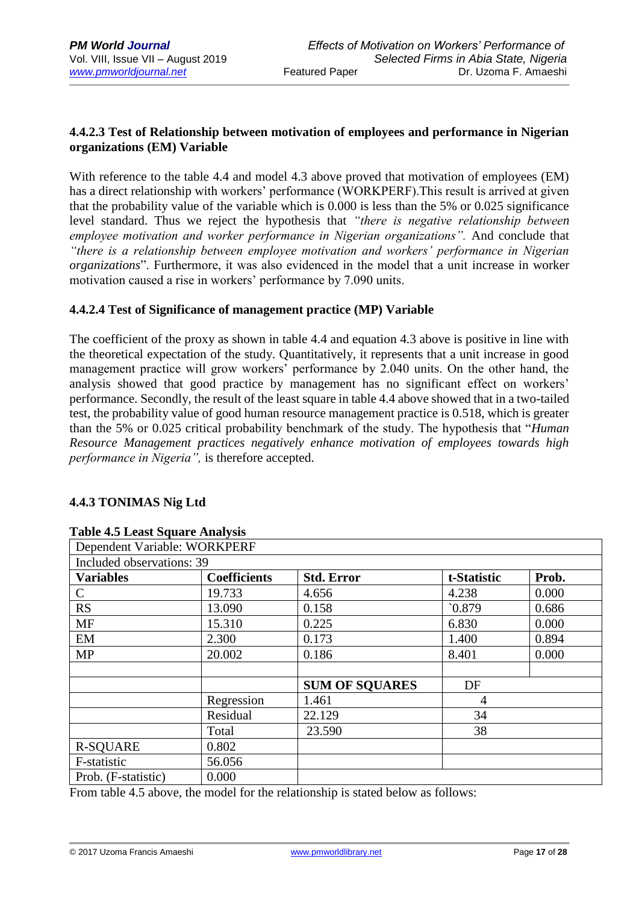## **4.4.2.3 Test of Relationship between motivation of employees and performance in Nigerian organizations (EM) Variable**

With reference to the table 4.4 and model 4.3 above proved that motivation of employees (EM) has a direct relationship with workers' performance (WORKPERF).This result is arrived at given that the probability value of the variable which is 0.000 is less than the 5% or 0.025 significance level standard. Thus we reject the hypothesis that *"there is negative relationship between employee motivation and worker performance in Nigerian organizations".* And conclude that *"there is a relationship between employee motivation and workers' performance in Nigerian organizations*". Furthermore, it was also evidenced in the model that a unit increase in worker motivation caused a rise in workers' performance by 7.090 units.

## **4.4.2.4 Test of Significance of management practice (MP) Variable**

The coefficient of the proxy as shown in table 4.4 and equation 4.3 above is positive in line with the theoretical expectation of the study. Quantitatively, it represents that a unit increase in good management practice will grow workers' performance by 2.040 units. On the other hand, the analysis showed that good practice by management has no significant effect on workers' performance. Secondly, the result of the least square in table 4.4 above showed that in a two-tailed test, the probability value of good human resource management practice is 0.518, which is greater than the 5% or 0.025 critical probability benchmark of the study. The hypothesis that "*Human Resource Management practices negatively enhance motivation of employees towards high performance in Nigeria",* is therefore accepted.

## **4.4.3 TONIMAS Nig Ltd**

| Dependent Variable: WORKPERF |                     |                       |             |       |
|------------------------------|---------------------|-----------------------|-------------|-------|
| Included observations: 39    |                     |                       |             |       |
| <b>Variables</b>             | <b>Coefficients</b> | <b>Std. Error</b>     | t-Statistic | Prob. |
| $\mathcal{C}$                | 19.733              | 4.656                 | 4.238       | 0.000 |
| <b>RS</b>                    | 13.090              | 0.158                 | 0.879       | 0.686 |
| <b>MF</b>                    | 15.310              | 0.225                 | 6.830       | 0.000 |
| EM                           | 2.300               | 0.173                 | 1.400       | 0.894 |
| <b>MP</b>                    | 20.002              | 0.186                 | 8.401       | 0.000 |
|                              |                     |                       |             |       |
|                              |                     | <b>SUM OF SOUARES</b> | DF          |       |
|                              | Regression          | 1.461                 | 4           |       |
|                              | Residual            | 22.129                | 34          |       |
|                              | Total               | 23.590                | 38          |       |
| <b>R-SQUARE</b>              | 0.802               |                       |             |       |
| F-statistic                  | 56.056              |                       |             |       |
| Prob. (F-statistic)          | 0.000               |                       |             |       |

## **Table 4.5 Least Square Analysis**

From table 4.5 above, the model for the relationship is stated below as follows: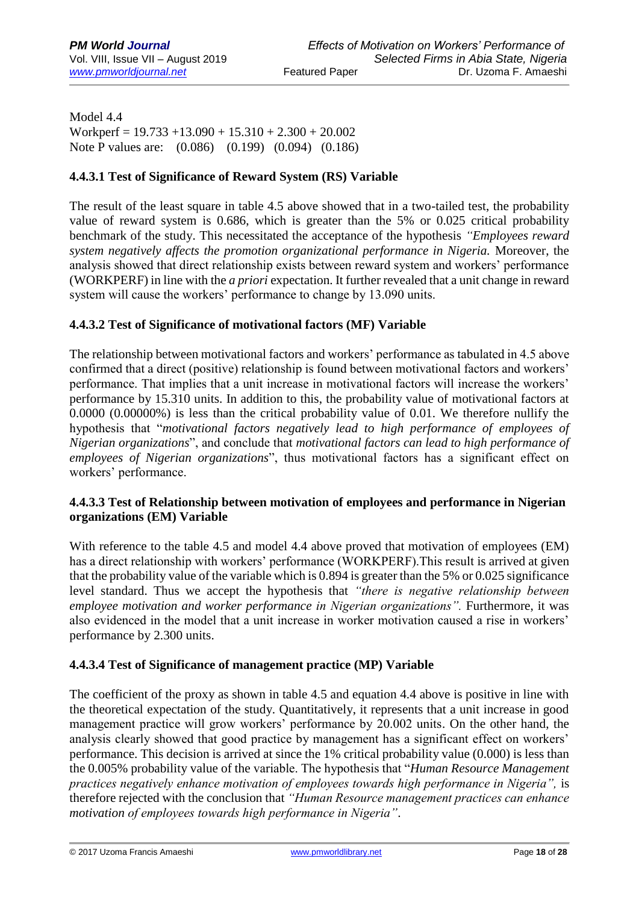Model 4.4 Workperf =  $19.733 + 13.090 + 15.310 + 2.300 + 20.002$ Note P values are: (0.086) (0.199) (0.094) (0.186)

# **4.4.3.1 Test of Significance of Reward System (RS) Variable**

The result of the least square in table 4.5 above showed that in a two-tailed test, the probability value of reward system is 0.686, which is greater than the 5% or 0.025 critical probability benchmark of the study. This necessitated the acceptance of the hypothesis *"Employees reward system negatively affects the promotion organizational performance in Nigeria.* Moreover, the analysis showed that direct relationship exists between reward system and workers' performance (WORKPERF) in line with the *a priori* expectation. It further revealed that a unit change in reward system will cause the workers' performance to change by 13.090 units.

## **4.4.3.2 Test of Significance of motivational factors (MF) Variable**

The relationship between motivational factors and workers' performance as tabulated in 4.5 above confirmed that a direct (positive) relationship is found between motivational factors and workers' performance. That implies that a unit increase in motivational factors will increase the workers' performance by 15.310 units. In addition to this, the probability value of motivational factors at 0.0000 (0.00000%) is less than the critical probability value of 0.01. We therefore nullify the hypothesis that "*motivational factors negatively lead to high performance of employees of Nigerian organizations*", and conclude that *motivational factors can lead to high performance of employees of Nigerian organizations*", thus motivational factors has a significant effect on workers' performance.

## **4.4.3.3 Test of Relationship between motivation of employees and performance in Nigerian organizations (EM) Variable**

With reference to the table 4.5 and model 4.4 above proved that motivation of employees (EM) has a direct relationship with workers' performance (WORKPERF).This result is arrived at given that the probability value of the variable which is 0.894 is greater than the 5% or 0.025 significance level standard. Thus we accept the hypothesis that *"there is negative relationship between employee motivation and worker performance in Nigerian organizations".* Furthermore, it was also evidenced in the model that a unit increase in worker motivation caused a rise in workers' performance by 2.300 units.

# **4.4.3.4 Test of Significance of management practice (MP) Variable**

The coefficient of the proxy as shown in table 4.5 and equation 4.4 above is positive in line with the theoretical expectation of the study. Quantitatively, it represents that a unit increase in good management practice will grow workers' performance by 20.002 units. On the other hand, the analysis clearly showed that good practice by management has a significant effect on workers' performance. This decision is arrived at since the 1% critical probability value (0.000) is less than the 0.005% probability value of the variable. The hypothesis that "*Human Resource Management practices negatively enhance motivation of employees towards high performance in Nigeria", is* therefore rejected with the conclusion that *"Human Resource management practices can enhance motivation of employees towards high performance in Nigeria"*.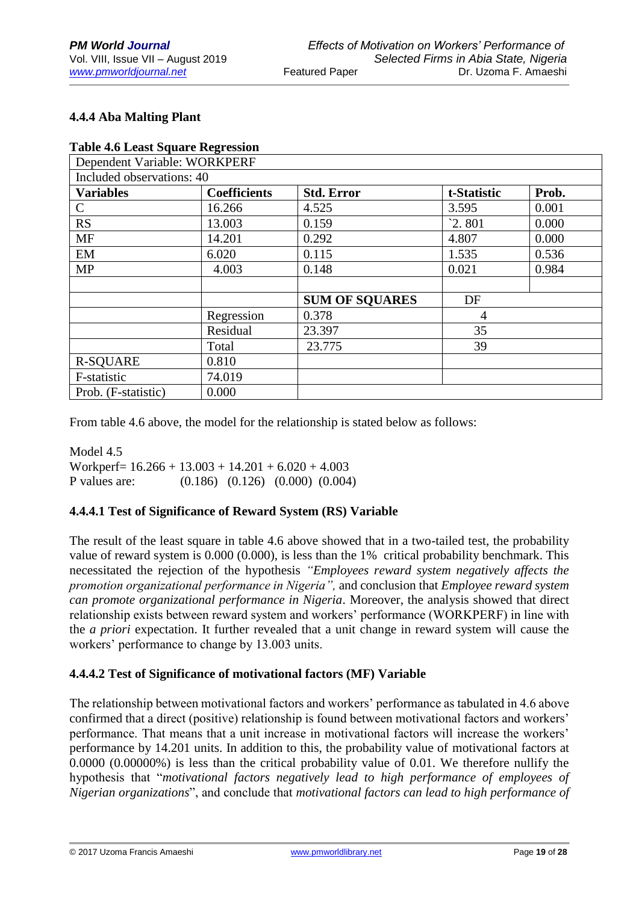# **4.4.4 Aba Malting Plant**

|  |  |  | <b>Table 4.6 Least Square Regression</b> |  |
|--|--|--|------------------------------------------|--|
|  |  |  |                                          |  |

| Dependent Variable: WORKPERF |                     |                       |             |       |  |  |  |
|------------------------------|---------------------|-----------------------|-------------|-------|--|--|--|
| Included observations: 40    |                     |                       |             |       |  |  |  |
| <b>Variables</b>             | <b>Coefficients</b> | <b>Std. Error</b>     | t-Statistic | Prob. |  |  |  |
| $\mathcal{C}$                | 16.266              | 4.525                 | 3.595       | 0.001 |  |  |  |
| <b>RS</b>                    | 13.003              | 0.159                 | 2.801       | 0.000 |  |  |  |
| <b>MF</b>                    | 14.201              | 0.292                 | 4.807       | 0.000 |  |  |  |
| EM                           | 6.020               | 0.115                 | 1.535       | 0.536 |  |  |  |
| <b>MP</b>                    | 4.003               | 0.148                 | 0.021       | 0.984 |  |  |  |
|                              |                     |                       |             |       |  |  |  |
|                              |                     | <b>SUM OF SOUARES</b> | DF          |       |  |  |  |
|                              | Regression          | 0.378                 | 4           |       |  |  |  |
|                              | Residual            | 23.397                | 35          |       |  |  |  |
|                              | Total               | 23.775                | 39          |       |  |  |  |
| <b>R-SQUARE</b>              | 0.810               |                       |             |       |  |  |  |
| F-statistic                  | 74.019              |                       |             |       |  |  |  |
| Prob. (F-statistic)          | 0.000               |                       |             |       |  |  |  |

From table 4.6 above, the model for the relationship is stated below as follows:

Model 4.5 Workperf=  $16.266 + 13.003 + 14.201 + 6.020 + 4.003$ P values are: (0.186) (0.126) (0.000) (0.004)

# **4.4.4.1 Test of Significance of Reward System (RS) Variable**

The result of the least square in table 4.6 above showed that in a two-tailed test, the probability value of reward system is 0.000 (0.000), is less than the 1% critical probability benchmark. This necessitated the rejection of the hypothesis *"Employees reward system negatively affects the promotion organizational performance in Nigeria",* and conclusion that *Employee reward system can promote organizational performance in Nigeria*. Moreover, the analysis showed that direct relationship exists between reward system and workers' performance (WORKPERF) in line with the *a priori* expectation. It further revealed that a unit change in reward system will cause the workers' performance to change by 13.003 units.

# **4.4.4.2 Test of Significance of motivational factors (MF) Variable**

The relationship between motivational factors and workers' performance as tabulated in 4.6 above confirmed that a direct (positive) relationship is found between motivational factors and workers' performance. That means that a unit increase in motivational factors will increase the workers' performance by 14.201 units. In addition to this, the probability value of motivational factors at 0.0000 (0.00000%) is less than the critical probability value of 0.01. We therefore nullify the hypothesis that "*motivational factors negatively lead to high performance of employees of Nigerian organizations*", and conclude that *motivational factors can lead to high performance of*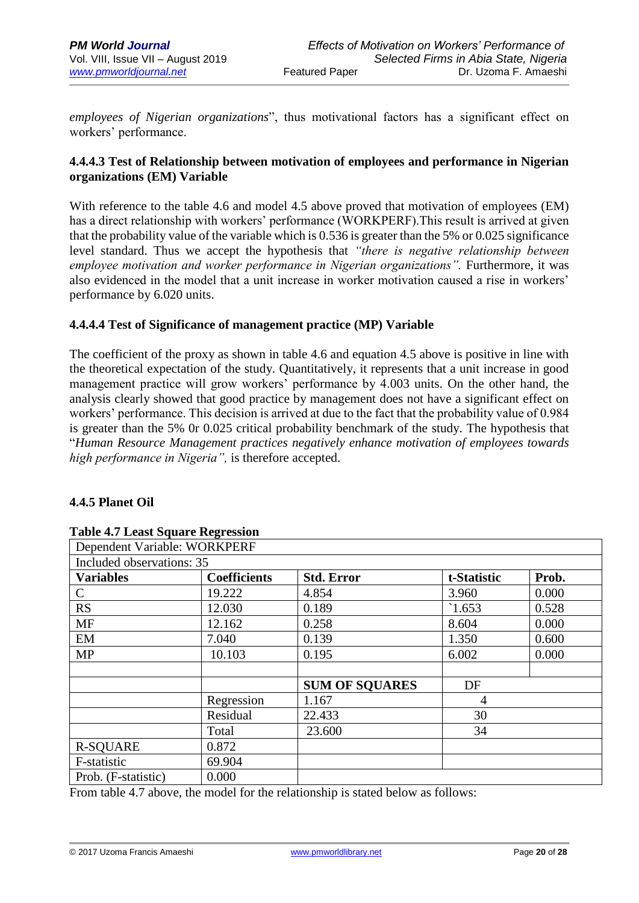*employees of Nigerian organizations*", thus motivational factors has a significant effect on workers' performance.

# **4.4.4.3 Test of Relationship between motivation of employees and performance in Nigerian organizations (EM) Variable**

With reference to the table 4.6 and model 4.5 above proved that motivation of employees (EM) has a direct relationship with workers' performance (WORKPERF).This result is arrived at given that the probability value of the variable which is 0.536 is greater than the 5% or 0.025 significance level standard. Thus we accept the hypothesis that *"there is negative relationship between employee motivation and worker performance in Nigerian organizations"*. Furthermore, it was also evidenced in the model that a unit increase in worker motivation caused a rise in workers' performance by 6.020 units.

## **4.4.4.4 Test of Significance of management practice (MP) Variable**

The coefficient of the proxy as shown in table 4.6 and equation 4.5 above is positive in line with the theoretical expectation of the study. Quantitatively, it represents that a unit increase in good management practice will grow workers' performance by 4.003 units. On the other hand, the analysis clearly showed that good practice by management does not have a significant effect on workers' performance. This decision is arrived at due to the fact that the probability value of 0.984 is greater than the 5% 0r 0.025 critical probability benchmark of the study. The hypothesis that "*Human Resource Management practices negatively enhance motivation of employees towards high performance in Nigeria",* is therefore accepted.

## **4.4.5 Planet Oil**

| Dependent Variable: WORKPERF |                     |                       |             |       |
|------------------------------|---------------------|-----------------------|-------------|-------|
| Included observations: 35    |                     |                       |             |       |
| <b>Variables</b>             | <b>Coefficients</b> | <b>Std. Error</b>     | t-Statistic | Prob. |
| $\mathcal{C}$                | 19.222              | 4.854                 | 3.960       | 0.000 |
| <b>RS</b>                    | 12.030              | 0.189                 | `1.653      | 0.528 |
| <b>MF</b>                    | 12.162              | 0.258                 | 8.604       | 0.000 |
| EM                           | 7.040               | 0.139                 | 1.350       | 0.600 |
| <b>MP</b>                    | 10.103              | 0.195                 | 6.002       | 0.000 |
|                              |                     | <b>SUM OF SQUARES</b> | DF          |       |
|                              | Regression          | 1.167                 | 4           |       |
|                              | Residual            | 22.433                | 30          |       |
|                              | Total               | 23.600                | 34          |       |
| <b>R-SQUARE</b>              | 0.872               |                       |             |       |
| F-statistic                  | 69.904              |                       |             |       |
| Prob. (F-statistic)          | 0.000               |                       |             |       |

#### **Table 4.7 Least Square Regression**

From table 4.7 above, the model for the relationship is stated below as follows: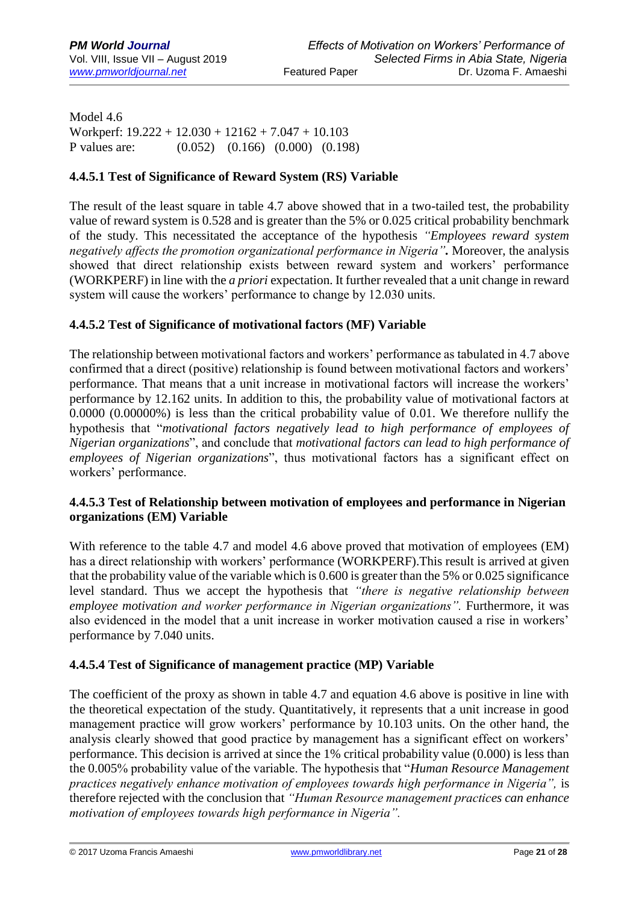Model 4.6 Workperf: 19.222 + 12.030 + 12162 + 7.047 + 10.103 P values are: (0.052) (0.166) (0.000) (0.198)

## **4.4.5.1 Test of Significance of Reward System (RS) Variable**

The result of the least square in table 4.7 above showed that in a two-tailed test, the probability value of reward system is 0.528 and is greater than the 5% or 0.025 critical probability benchmark of the study. This necessitated the acceptance of the hypothesis *"Employees reward system negatively affects the promotion organizational performance in Nigeria".* Moreover, the analysis showed that direct relationship exists between reward system and workers' performance (WORKPERF) in line with the *a priori* expectation. It further revealed that a unit change in reward system will cause the workers' performance to change by 12.030 units.

## **4.4.5.2 Test of Significance of motivational factors (MF) Variable**

The relationship between motivational factors and workers' performance as tabulated in 4.7 above confirmed that a direct (positive) relationship is found between motivational factors and workers' performance. That means that a unit increase in motivational factors will increase the workers' performance by 12.162 units. In addition to this, the probability value of motivational factors at 0.0000 (0.00000%) is less than the critical probability value of 0.01. We therefore nullify the hypothesis that "*motivational factors negatively lead to high performance of employees of Nigerian organizations*", and conclude that *motivational factors can lead to high performance of employees of Nigerian organizations*", thus motivational factors has a significant effect on workers' performance.

## **4.4.5.3 Test of Relationship between motivation of employees and performance in Nigerian organizations (EM) Variable**

With reference to the table 4.7 and model 4.6 above proved that motivation of employees (EM) has a direct relationship with workers' performance (WORKPERF).This result is arrived at given that the probability value of the variable which is 0.600 is greater than the 5% or 0.025 significance level standard. Thus we accept the hypothesis that *"there is negative relationship between employee motivation and worker performance in Nigerian organizations"*. Furthermore, it was also evidenced in the model that a unit increase in worker motivation caused a rise in workers' performance by 7.040 units.

# **4.4.5.4 Test of Significance of management practice (MP) Variable**

The coefficient of the proxy as shown in table 4.7 and equation 4.6 above is positive in line with the theoretical expectation of the study. Quantitatively, it represents that a unit increase in good management practice will grow workers' performance by 10.103 units. On the other hand, the analysis clearly showed that good practice by management has a significant effect on workers' performance. This decision is arrived at since the 1% critical probability value (0.000) is less than the 0.005% probability value of the variable. The hypothesis that "*Human Resource Management practices negatively enhance motivation of employees towards high performance in Nigeria", is* therefore rejected with the conclusion that *"Human Resource management practices can enhance motivation of employees towards high performance in Nigeria".*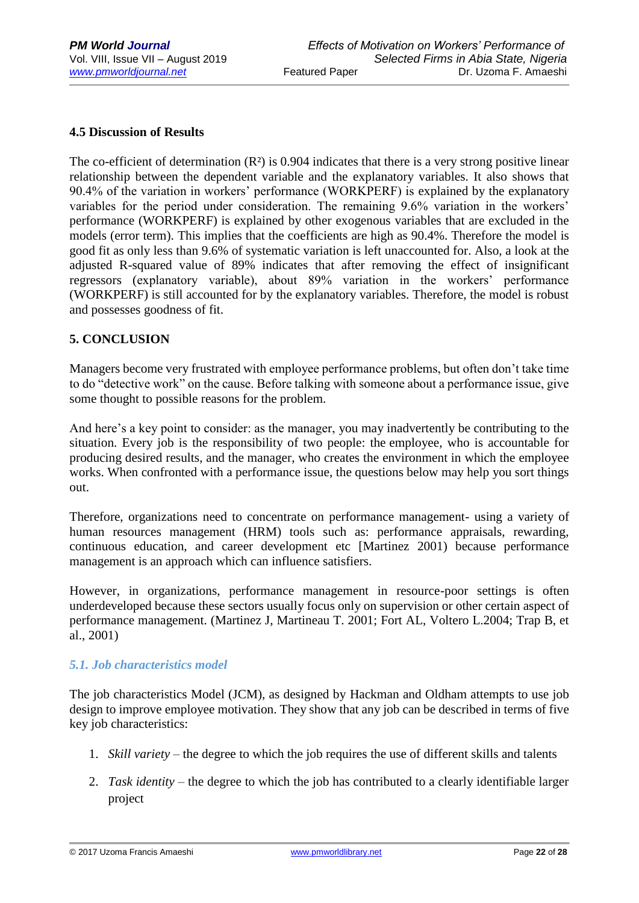## **4.5 Discussion of Results**

The co-efficient of determination  $(R<sup>2</sup>)$  is 0.904 indicates that there is a very strong positive linear relationship between the dependent variable and the explanatory variables. It also shows that 90.4% of the variation in workers' performance (WORKPERF) is explained by the explanatory variables for the period under consideration. The remaining 9.6% variation in the workers' performance (WORKPERF) is explained by other exogenous variables that are excluded in the models (error term). This implies that the coefficients are high as 90.4%. Therefore the model is good fit as only less than 9.6% of systematic variation is left unaccounted for. Also, a look at the adjusted R-squared value of 89% indicates that after removing the effect of insignificant regressors (explanatory variable), about 89% variation in the workers' performance (WORKPERF) is still accounted for by the explanatory variables. Therefore, the model is robust and possesses goodness of fit.

## **5. CONCLUSION**

Managers become very frustrated with employee performance problems, but often don't take time to do "detective work" on the cause. Before talking with someone about a performance issue, give some thought to possible reasons for the problem.

And here's a key point to consider: as the manager, you may inadvertently be contributing to the situation. Every job is the responsibility of two people: the employee, who is accountable for producing desired results, and the manager, who creates the environment in which the employee works. When confronted with a performance issue, the questions below may help you sort things out.

Therefore, organizations need to concentrate on performance management- using a variety of human resources management (HRM) tools such as: performance appraisals, rewarding, continuous education, and career development etc [Martinez 2001) because performance management is an approach which can influence satisfiers.

However, in organizations, performance management in resource-poor settings is often underdeveloped because these sectors usually focus only on supervision or other certain aspect of performance management. (Martinez J, Martineau T. 2001; Fort AL, Voltero L.2004; Trap B, et al., 2001)

## *5.1. Job characteristics model*

The job characteristics Model (JCM), as designed by Hackman and Oldham attempts to use job design to improve employee motivation. They show that any job can be described in terms of five key job characteristics:

- 1. *Skill variety* the degree to which the job requires the use of different skills and talents
- 2. *Task identity* the degree to which the job has contributed to a clearly identifiable larger project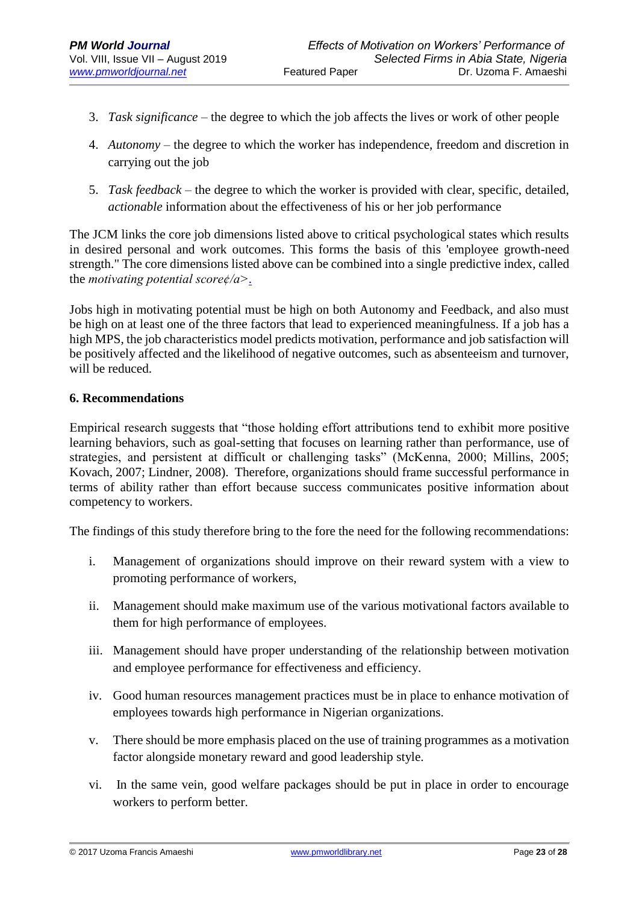- 3. *Task significance* the degree to which the job affects the lives or work of other people
- 4. *Autonomy* the degree to which the worker has independence, freedom and discretion in carrying out the job
- 5. *Task feedback* the degree to which the worker is provided with clear, specific, detailed, *actionable* information about the effectiveness of his or her job performance

The JCM links the core job dimensions listed above to critical psychological states which results in desired personal and work outcomes. This forms the basis of this 'employee growth-need strength." The core dimensions listed above can be combined into a single predictive index, called the *motivating potential score¢/a>*[.](https://en.wikipedia.org/wiki/Motivating_potential_score)

Jobs high in motivating potential must be high on both Autonomy and Feedback, and also must be high on at least one of the three factors that lead to experienced meaningfulness. If a job has a high MPS, the job characteristics model predicts motivation, performance and job satisfaction will be positively affected and the likelihood of negative outcomes, such as absenteeism and turnover, will be reduced.

## **6. Recommendations**

Empirical research suggests that "those holding effort attributions tend to exhibit more positive learning behaviors, such as goal-setting that focuses on learning rather than performance, use of strategies, and persistent at difficult or challenging tasks" (McKenna, 2000; Millins, 2005; Kovach, 2007; Lindner, 2008). Therefore, organizations should frame successful performance in terms of ability rather than effort because success communicates positive information about competency to workers.

The findings of this study therefore bring to the fore the need for the following recommendations:

- i. Management of organizations should improve on their reward system with a view to promoting performance of workers,
- ii. Management should make maximum use of the various motivational factors available to them for high performance of employees.
- iii. Management should have proper understanding of the relationship between motivation and employee performance for effectiveness and efficiency.
- iv. Good human resources management practices must be in place to enhance motivation of employees towards high performance in Nigerian organizations.
- v. There should be more emphasis placed on the use of training programmes as a motivation factor alongside monetary reward and good leadership style.
- vi. In the same vein, good welfare packages should be put in place in order to encourage workers to perform better.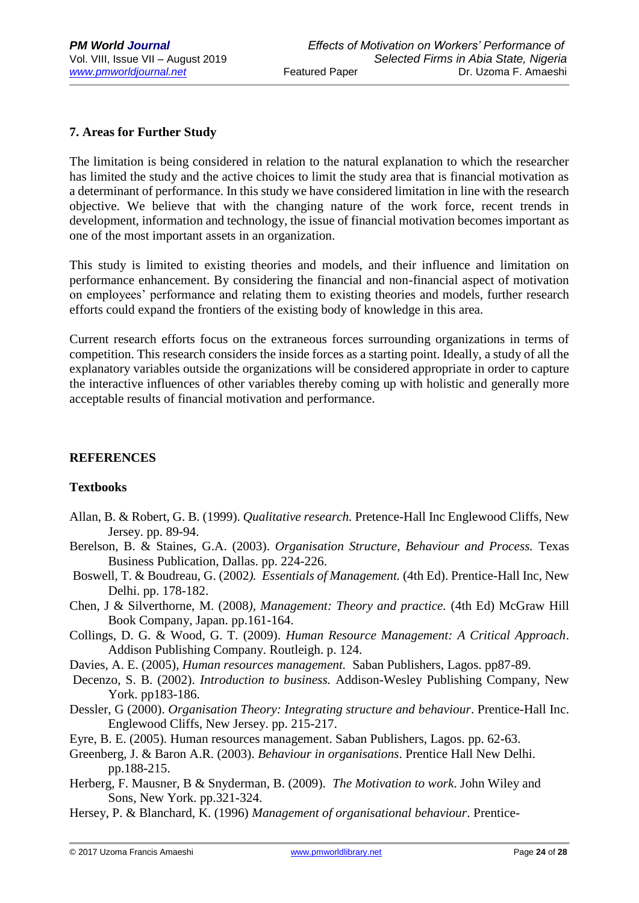# **7. Areas for Further Study**

The limitation is being considered in relation to the natural explanation to which the researcher has limited the study and the active choices to limit the study area that is financial motivation as a determinant of performance. In this study we have considered limitation in line with the research objective. We believe that with the changing nature of the work force, recent trends in development, information and technology, the issue of financial motivation becomes important as one of the most important assets in an organization.

This study is limited to existing theories and models, and their influence and limitation on performance enhancement. By considering the financial and non-financial aspect of motivation on employees' performance and relating them to existing theories and models, further research efforts could expand the frontiers of the existing body of knowledge in this area.

Current research efforts focus on the extraneous forces surrounding organizations in terms of competition. This research considers the inside forces as a starting point. Ideally, a study of all the explanatory variables outside the organizations will be considered appropriate in order to capture the interactive influences of other variables thereby coming up with holistic and generally more acceptable results of financial motivation and performance.

## **REFERENCES**

# **Textbooks**

- Allan, B. & Robert, G. B. (1999). *Qualitative research.* Pretence-Hall Inc Englewood Cliffs, New Jersey. pp. 89-94.
- Berelson, B. & Staines, G.A. (2003). *Organisation Structure, Behaviour and Process.* Texas Business Publication, Dallas. pp. 224-226.
- Boswell, T. & Boudreau, G. (2002*). Essentials of Management.* (4th Ed). Prentice-Hall Inc, New Delhi. pp. 178-182.
- Chen, J & Silverthorne, M. (2008*), Management: Theory and practice.* (4th Ed) McGraw Hill Book Company, Japan. pp.161-164.
- Collings, D. G. & Wood, G. T. (2009). *Human Resource Management: A Critical Approach*. Addison Publishing Company. Routleigh. p. 124.
- Davies, A. E. (2005), *Human resources management.* Saban Publishers, Lagos. pp87-89.
- Decenzo, S. B. (2002). *Introduction to business.* Addison-Wesley Publishing Company, New York. pp183-186.
- Dessler, G (2000). *Organisation Theory: Integrating structure and behaviour*. Prentice-Hall Inc. Englewood Cliffs, New Jersey. pp. 215-217.
- Eyre, B. E. (2005). Human resources management. Saban Publishers, Lagos. pp. 62-63.
- Greenberg, J. & Baron A.R. (2003). *Behaviour in organisations*. Prentice Hall New Delhi. pp.188-215.
- Herberg, F. Mausner, B & Snyderman, B. (2009). *The Motivation to work*. John Wiley and Sons, New York. pp.321-324.
- Hersey, P. & Blanchard, K. (1996) *Management of organisational behaviour*. Prentice-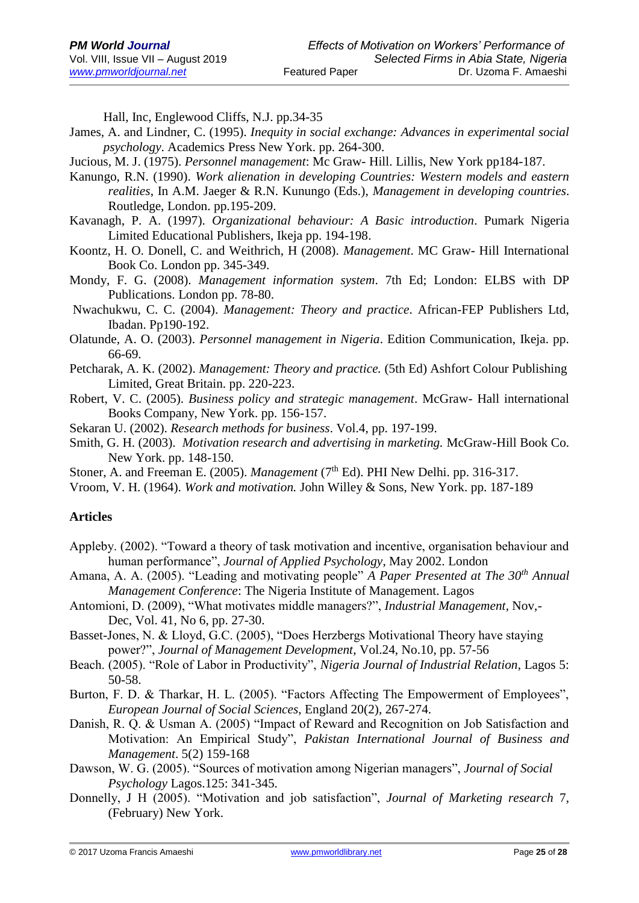Hall, Inc, Englewood Cliffs, N.J. pp.34-35

- James, A. and Lindner, C. (1995). *Inequity in social exchange: Advances in experimental social psychology*. Academics Press New York. pp. 264-300.
- Jucious, M. J. (1975). *Personnel management*: Mc Graw- Hill. Lillis, New York pp184-187.
- Kanungo, R.N. (1990). *Work alienation in developing Countries: Western models and eastern realities*, In A.M. Jaeger & R.N. Kunungo (Eds.), *Management in developing countries*. Routledge, London. pp.195-209.
- Kavanagh, P. A. (1997). *Organizational behaviour: A Basic introduction*. Pumark Nigeria Limited Educational Publishers, Ikeja pp. 194-198.
- Koontz, H. O. Donell, C. and Weithrich, H (2008). *Management*. MC Graw- Hill International Book Co. London pp. 345-349.
- Mondy, F. G. (2008). *Management information system*. 7th Ed; London: ELBS with DP Publications. London pp. 78-80.
- Nwachukwu, C. C. (2004). *Management: Theory and practice*. African-FEP Publishers Ltd, Ibadan. Pp190-192.
- Olatunde, A. O. (2003). *Personnel management in Nigeria*. Edition Communication, Ikeja. pp. 66-69.
- Petcharak, A. K. (2002). *Management: Theory and practice.* (5th Ed) Ashfort Colour Publishing Limited, Great Britain. pp. 220-223.
- Robert, V. C. (2005). *Business policy and strategic management*. McGraw- Hall international Books Company, New York. pp. 156-157.
- Sekaran U. (2002). *Research methods for business*. Vol.4, pp. 197-199.
- Smith, G. H. (2003). *Motivation research and advertising in marketing.* McGraw-Hill Book Co. New York. pp. 148-150.
- Stoner, A. and Freeman E. (2005). *Management* (7<sup>th</sup> Ed). PHI New Delhi. pp. 316-317.
- Vroom, V. H. (1964). *Work and motivation.* John Willey & Sons, New York. pp. 187-189

## **Articles**

- Appleby. (2002). "Toward a theory of task motivation and incentive, organisation behaviour and human performance", *Journal of Applied Psychology*, May 2002. London
- Amana, A. A. (2005). "Leading and motivating people" *A Paper Presented at The 30th Annual Management Conference*: The Nigeria Institute of Management. Lagos
- Antomioni, D. (2009), "What motivates middle managers?", *Industrial Management*, Nov,- Dec, Vol. 41, No 6, pp. 27-30.
- Basset-Jones, N. & Lloyd, G.C. (2005), "Does Herzbergs Motivational Theory have staying power?", *Journal of Management Development*, Vol.24, No.10, pp. 57-56
- Beach. (2005). "Role of Labor in Productivity", *Nigeria Journal of Industrial Relation*, Lagos 5: 50-58.
- Burton, F. D. & Tharkar, H. L. (2005). "Factors Affecting The Empowerment of Employees", *European Journal of Social Sciences*, England 20(2), 267-274.
- Danish, R. Q. & Usman A. (2005) "Impact of Reward and Recognition on Job Satisfaction and Motivation: An Empirical Study", *Pakistan International Journal of Business and Management*. 5(2) 159-168
- Dawson, W. G. (2005). "Sources of motivation among Nigerian managers", *Journal of Social Psychology* Lagos.125: 341-345.
- Donnelly, J H (2005). "Motivation and job satisfaction", *Journal of Marketing research* 7, (February) New York.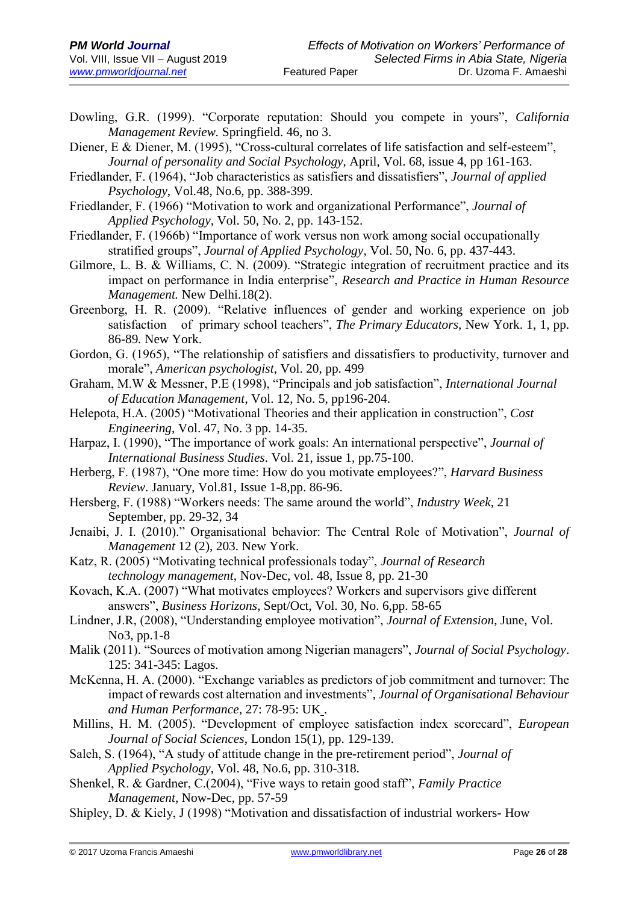Dowling, G.R. (1999). "Corporate reputation: Should you compete in yours", *California Management Review.* Springfield. 46, no 3.

Diener, E & Diener, M. (1995), "Cross-cultural correlates of life satisfaction and self-esteem", *Journal of personality and Social Psychology*, April, Vol. 68, issue 4, pp 161-163.

Friedlander, F. (1964), "Job characteristics as satisfiers and dissatisfiers", *Journal of applied Psychology*, Vol.48, No.6, pp. 388-399.

Friedlander, F. (1966) "Motivation to work and organizational Performance", *Journal of Applied Psychology*, Vol. 50, No. 2, pp. 143-152.

Friedlander, F. (1966b) "Importance of work versus non work among social occupationally stratified groups", *Journal of Applied Psychology*, Vol. 50, No. 6, pp. 437-443.

Gilmore, L. B. & Williams, C. N. (2009). "Strategic integration of recruitment practice and its impact on performance in India enterprise", *Research and Practice in Human Resource Management.* New Delhi.18(2).

Greenborg, H. R. (2009). "Relative influences of gender and working experience on job satisfaction of primary school teachers", *The Primary Educators*, New York. 1, 1, pp. 86-89*.* New York.

Gordon, G. (1965), "The relationship of satisfiers and dissatisfiers to productivity, turnover and morale", *American psychologist*, Vol. 20, pp. 499

Graham, M.W & Messner, P.E (1998), "Principals and job satisfaction", *International Journal of Education Management*, Vol. 12, No. 5, pp196-204.

- Helepota, H.A. (2005) "Motivational Theories and their application in construction", *Cost Engineering*, Vol. 47, No. 3 pp. 14-35.
- Harpaz, I. (1990), "The importance of work goals: An international perspective", *Journal of International Business Studies*. Vol. 21, issue 1, pp.75-100.
- Herberg, F. (1987), "One more time: How do you motivate employees?", *Harvard Business Review*. January, Vol.81, Issue 1-8,pp. 86-96.
- Hersberg, F. (1988) "Workers needs: The same around the world", *Industry Week*, 21 September, pp. 29-32, 34
- Jenaibi, J. I. (2010)." Organisational behavior: The Central Role of Motivation", *Journal of Management* 12 (2), 203. New York.

Katz, R. (2005) "Motivating technical professionals today", *Journal of Research technology management*, Nov-Dec, vol. 48, Issue 8, pp. 21-30

Kovach, K.A. (2007) "What motivates employees? Workers and supervisors give different answers", *Business Horizons*, Sept/Oct, Vol. 30, No. 6,pp. 58-65

Lindner, J.R, (2008), "Understanding employee motivation", *Journal of Extension*, June, Vol. No3, pp.1-8

Malik (2011). "Sources of motivation among Nigerian managers", *Journal of Social Psychology*. 125: 341-345: Lagos.

McKenna, H. A. (2000). "Exchange variables as predictors of job commitment and turnover: The impact of rewards cost alternation and investments", *Journal of Organisational Behaviour and Human Performance*, 27: 78-95: UK .

Millins, H. M. (2005). "Development of employee satisfaction index scorecard", *European Journal of Social Sciences*, London 15(1), pp. 129-139.

- Saleh, S. (1964), "A study of attitude change in the pre-retirement period", *Journal of Applied Psychology*, Vol. 48, No.6, pp. 310-318.
- Shenkel, R. & Gardner, C.(2004), "Five ways to retain good staff", *Family Practice Management*, Now-Dec, pp. 57-59
- Shipley, D. & Kiely, J (1998) "Motivation and dissatisfaction of industrial workers- How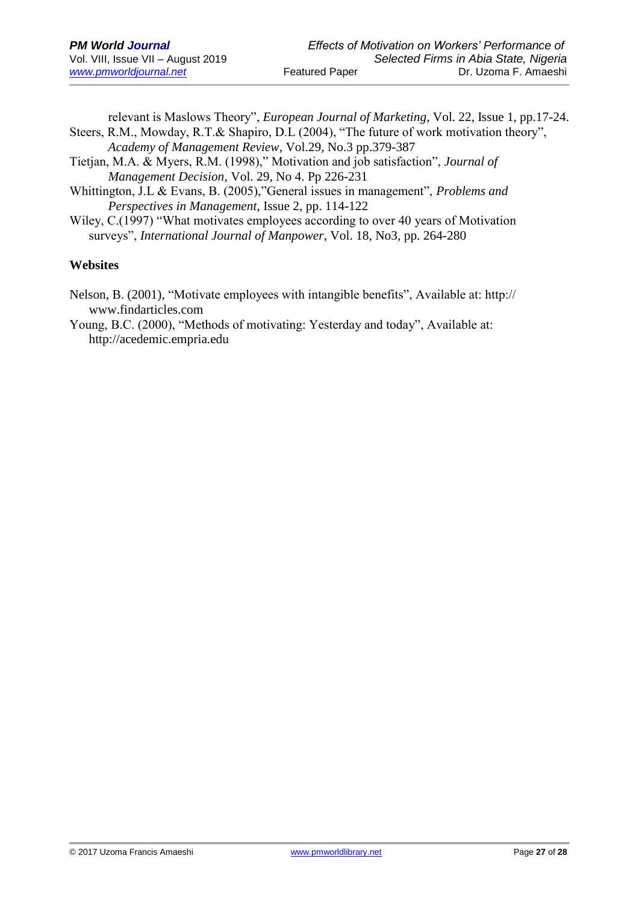relevant is Maslows Theory", *European Journal of Marketing*, Vol. 22, Issue 1, pp.17-24. Steers, R.M., Mowday, R.T.& Shapiro, D.L (2004), "The future of work motivation theory", *Academy of Management Review*, Vol.29, No.3 pp.379-387

- Tietjan, M.A. & Myers, R.M. (1998)," Motivation and job satisfaction", *Journal of Management Decision*, Vol. 29, No 4. Pp 226-231
- Whittington, J.L & Evans, B. (2005),"General issues in management", *Problems and Perspectives in Management*, Issue 2, pp. 114-122

Wiley, C.(1997) "What motivates employees according to over 40 years of Motivation surveys", *International Journal of Manpower*, Vol. 18, No3, pp. 264-280

## **Websites**

- Nelson, B. (2001), "Motivate employees with intangible benefits", Available at: http:// www.findarticles.com
- Young, B.C. (2000), "Methods of motivating: Yesterday and today", Available at: http://acedemic.empria.edu